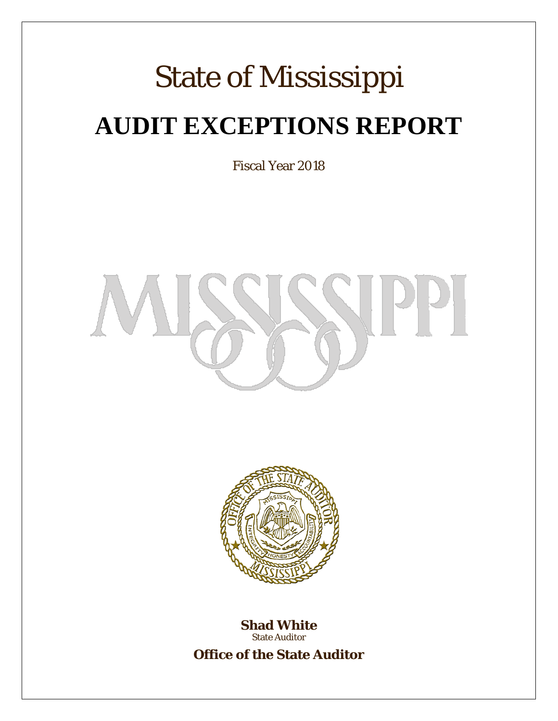# State of Mississippi **AUDIT EXCEPTIONS REPORT**

Fiscal Year 2018





#### **Shad White** State Auditor

**Office of the State Auditor**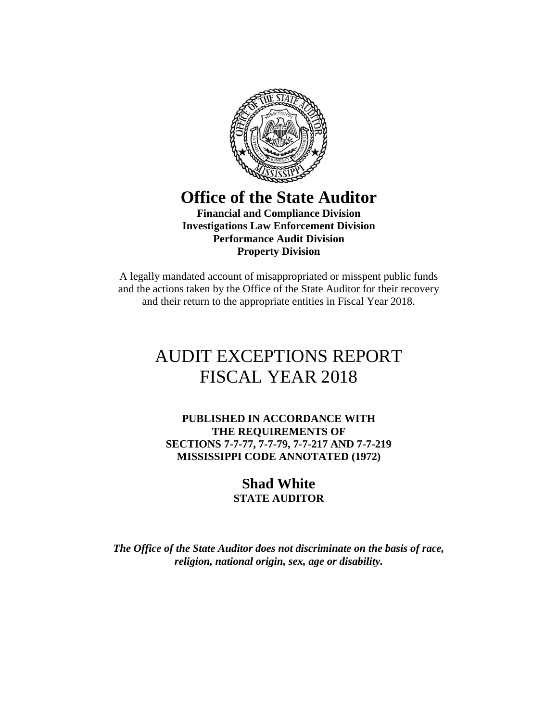

### **Office of the State Auditor Financial and Compliance Division Investigations Law Enforcement Division Performance Audit Division**

**Property Division**

A legally mandated account of misappropriated or misspent public funds and the actions taken by the Office of the State Auditor for their recovery and their return to the appropriate entities in Fiscal Year 2018.

## AUDIT EXCEPTIONS REPORT FISCAL YEAR 2018

#### **PUBLISHED IN ACCORDANCE WITH THE REQUIREMENTS OF SECTIONS 7-7-77, 7-7-79, 7-7-217 AND 7-7-219 MISSISSIPPI CODE ANNOTATED (1972)**

### **Shad White STATE AUDITOR**

*The Office of the State Auditor does not discriminate on the basis of race, religion, national origin, sex, age or disability.*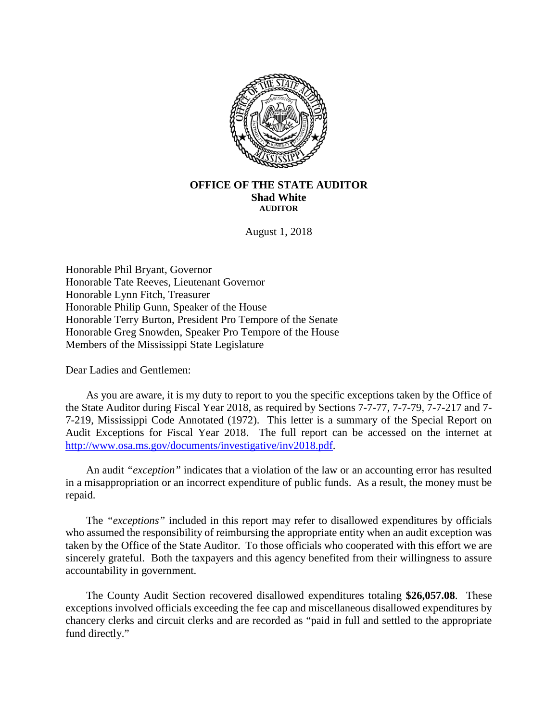

#### **OFFICE OF THE STATE AUDITOR Shad White AUDITOR**

August 1, 2018

Honorable Phil Bryant, Governor Honorable Tate Reeves, Lieutenant Governor Honorable Lynn Fitch, Treasurer Honorable Philip Gunn, Speaker of the House Honorable Terry Burton, President Pro Tempore of the Senate Honorable Greg Snowden, Speaker Pro Tempore of the House Members of the Mississippi State Legislature

Dear Ladies and Gentlemen:

As you are aware, it is my duty to report to you the specific exceptions taken by the Office of the State Auditor during Fiscal Year 2018, as required by Sections 7-7-77, 7-7-79, 7-7-217 and 7- 7-219, Mississippi Code Annotated (1972). This letter is a summary of the Special Report on Audit Exceptions for Fiscal Year 2018. The full report can be accessed on the internet at [http://www.osa.ms.gov/documents/investigative/inv2018.pdf.](http://www.osa.ms.gov/documents/investigative/inv2018.pdf)

An audit *"exception"* indicates that a violation of the law or an accounting error has resulted in a misappropriation or an incorrect expenditure of public funds. As a result, the money must be repaid.

The *"exceptions"* included in this report may refer to disallowed expenditures by officials who assumed the responsibility of reimbursing the appropriate entity when an audit exception was taken by the Office of the State Auditor. To those officials who cooperated with this effort we are sincerely grateful. Both the taxpayers and this agency benefited from their willingness to assure accountability in government.

The County Audit Section recovered disallowed expenditures totaling **\$26,057.08**. These exceptions involved officials exceeding the fee cap and miscellaneous disallowed expenditures by chancery clerks and circuit clerks and are recorded as "paid in full and settled to the appropriate fund directly."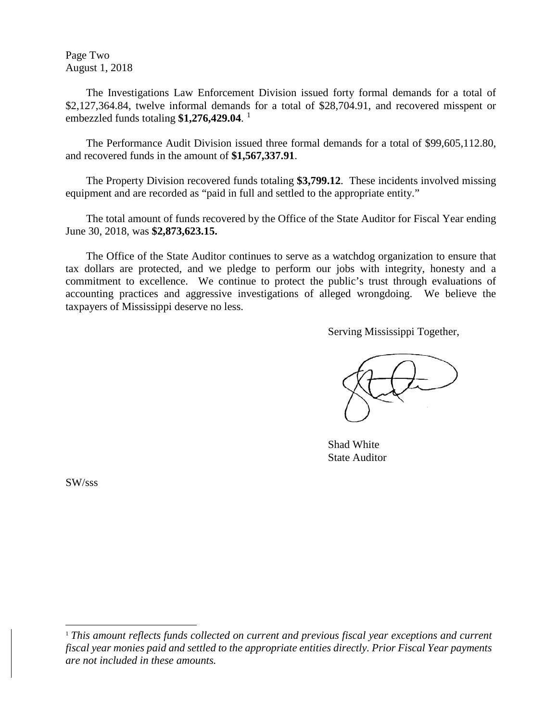Page Two August 1, 2018

The Investigations Law Enforcement Division issued forty formal demands for a total of \$2,127,364.84, twelve informal demands for a total of \$28,704.91, and recovered misspent or embezzled funds totaling **\$1,276,429.04**. [1](#page-5-0)

The Performance Audit Division issued three formal demands for a total of \$99,605,112.80, and recovered funds in the amount of **\$1,567,337.91**.

The Property Division recovered funds totaling **\$3,799.12**. These incidents involved missing equipment and are recorded as "paid in full and settled to the appropriate entity."

The total amount of funds recovered by the Office of the State Auditor for Fiscal Year ending June 30, 2018, was **\$2,873,623.15.**

The Office of the State Auditor continues to serve as a watchdog organization to ensure that tax dollars are protected, and we pledge to perform our jobs with integrity, honesty and a commitment to excellence. We continue to protect the public's trust through evaluations of accounting practices and aggressive investigations of alleged wrongdoing. We believe the taxpayers of Mississippi deserve no less.

Serving Mississippi Together,

Shad White State Auditor

SW/sss

<span id="page-5-0"></span> <sup>1</sup> *This amount reflects funds collected on current and previous fiscal year exceptions and current fiscal year monies paid and settled to the appropriate entities directly. Prior Fiscal Year payments are not included in these amounts.*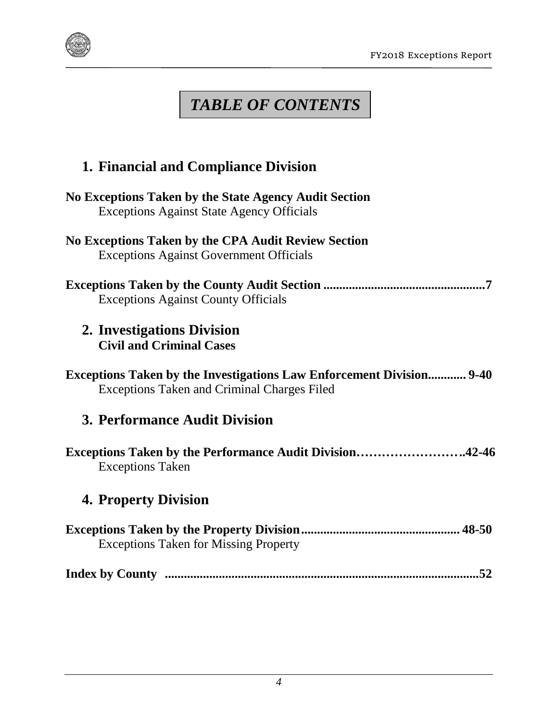

## *TABLE OF CONTENTS*

|  | 1. Financial and Compliance Division |  |  |  |  |
|--|--------------------------------------|--|--|--|--|
|--|--------------------------------------|--|--|--|--|

| No Exceptions Taken by the State Agency Audit Section<br><b>Exceptions Against State Agency Officials</b>                         |
|-----------------------------------------------------------------------------------------------------------------------------------|
| No Exceptions Taken by the CPA Audit Review Section<br><b>Exceptions Against Government Officials</b>                             |
| <b>Exceptions Against County Officials</b>                                                                                        |
| 2. Investigations Division<br><b>Civil and Criminal Cases</b>                                                                     |
| <b>Exceptions Taken by the Investigations Law Enforcement Division 9-40</b><br><b>Exceptions Taken and Criminal Charges Filed</b> |
| 3. Performance Audit Division                                                                                                     |
| Exceptions Taken by the Performance Audit Division42-46<br><b>Exceptions Taken</b>                                                |
| 4. Property Division                                                                                                              |
| <b>Exceptions Taken for Missing Property</b>                                                                                      |
| .52                                                                                                                               |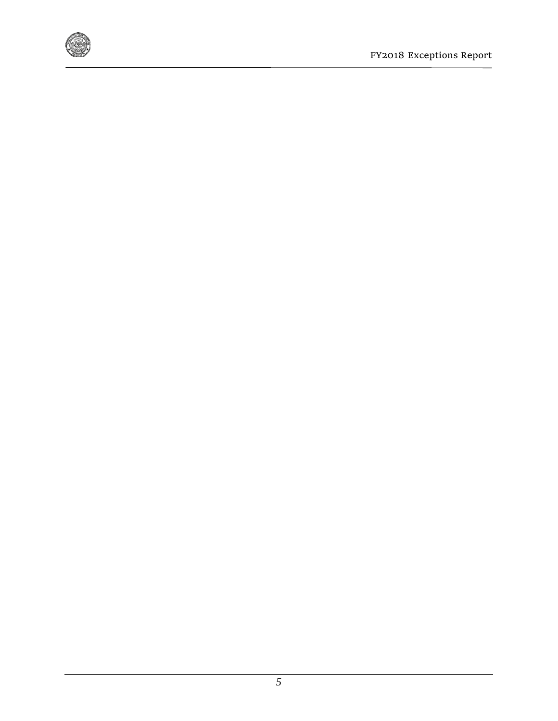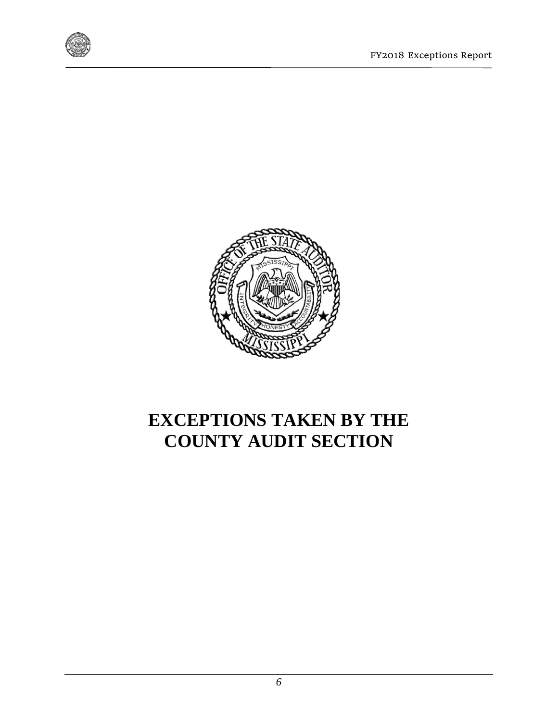



## **EXCEPTIONS TAKEN BY THE COUNTY AUDIT SECTION**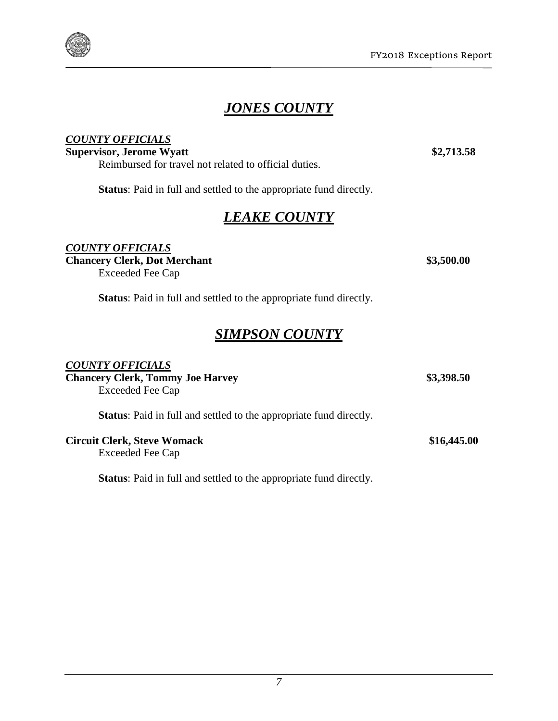#### FY2018 Exceptions Report

### *JONES COUNTY*

#### *COUNTY OFFICIALS*

#### **Supervisor, Jerome Wyatt \$2,713.58**

Reimbursed for travel not related to official duties.

**Status**: Paid in full and settled to the appropriate fund directly.

### *LEAKE COUNTY*

*COUNTY OFFICIALS* **Chancery Clerk, Dot Merchant \$3,500.00** Exceeded Fee Cap

**Status**: Paid in full and settled to the appropriate fund directly.

### *SIMPSON COUNTY*

| <b>COUNTY OFFICIALS</b>                                                   |             |
|---------------------------------------------------------------------------|-------------|
| <b>Chancery Clerk, Tommy Joe Harvey</b>                                   | \$3,398.50  |
| <b>Exceeded Fee Cap</b>                                                   |             |
| <b>Status:</b> Paid in full and settled to the appropriate fund directly. |             |
| <b>Circuit Clerk, Steve Womack</b>                                        | \$16,445.00 |
| <b>Exceeded Fee Cap</b>                                                   |             |
| <b>Status:</b> Paid in full and settled to the appropriate fund directly. |             |

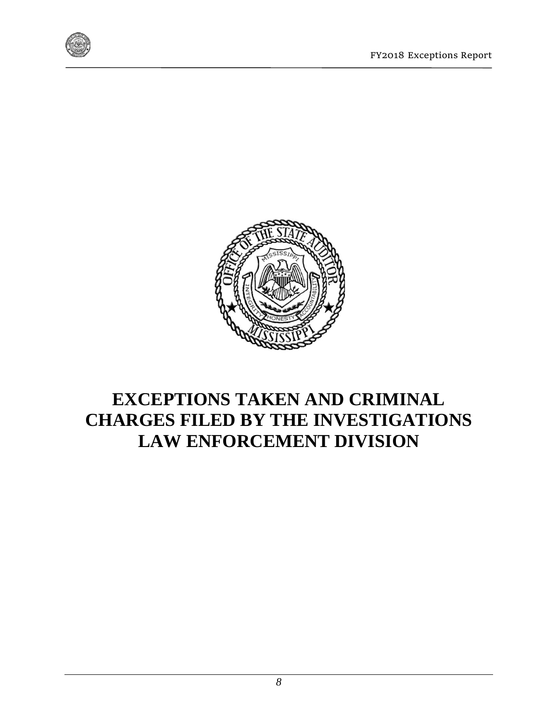



## **EXCEPTIONS TAKEN AND CRIMINAL CHARGES FILED BY THE INVESTIGATIONS LAW ENFORCEMENT DIVISION**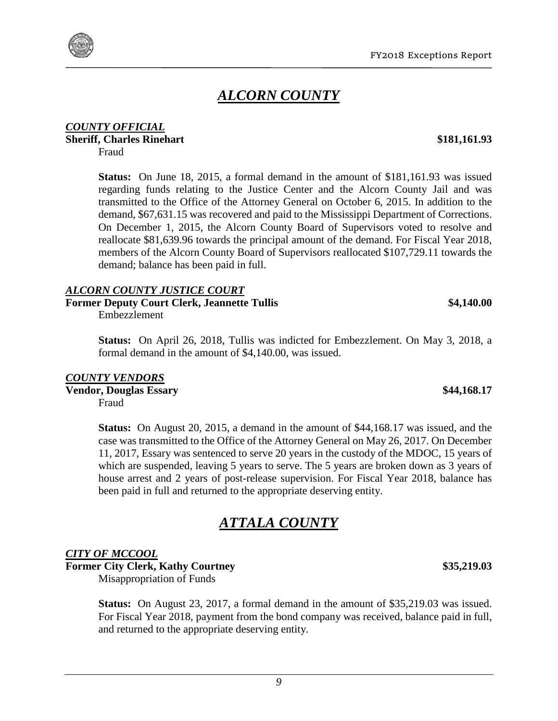### *ALCORN COUNTY*

#### *COUNTY OFFICIAL* **Sheriff, Charles Rinehart \$181,161.93** Fraud

**Status:** On June 18, 2015, a formal demand in the amount of \$181,161.93 was issued regarding funds relating to the Justice Center and the Alcorn County Jail and was transmitted to the Office of the Attorney General on October 6, 2015. In addition to the demand, \$67,631.15 was recovered and paid to the Mississippi Department of Corrections. On December 1, 2015, the Alcorn County Board of Supervisors voted to resolve and reallocate \$81,639.96 towards the principal amount of the demand. For Fiscal Year 2018, members of the Alcorn County Board of Supervisors reallocated \$107,729.11 towards the demand; balance has been paid in full.

#### *ALCORN COUNTY JUSTICE COURT*

**Former Deputy Court Clerk, Jeannette Tullis \$4,140.00**

Embezzlement

**Status:** On April 26, 2018, Tullis was indicted for Embezzlement. On May 3, 2018, a formal demand in the amount of \$4,140.00, was issued.

### *COUNTY VENDORS*

**Vendor, Douglas Essary \$44,168.17** 

Fraud

**Status:** On August 20, 2015, a demand in the amount of \$44,168.17 was issued, and the case was transmitted to the Office of the Attorney General on May 26, 2017. On December 11, 2017, Essary was sentenced to serve 20 years in the custody of the MDOC, 15 years of which are suspended, leaving 5 years to serve. The 5 years are broken down as 3 years of house arrest and 2 years of post-release supervision. For Fiscal Year 2018, balance has been paid in full and returned to the appropriate deserving entity.

### *ATTALA COUNTY*

#### *CITY OF MCCOOL*

**Former City Clerk, Kathy Courtney <b>\$35,219.03** Misappropriation of Funds

**Status:** On August 23, 2017, a formal demand in the amount of \$35,219.03 was issued. For Fiscal Year 2018, payment from the bond company was received, balance paid in full, and returned to the appropriate deserving entity.

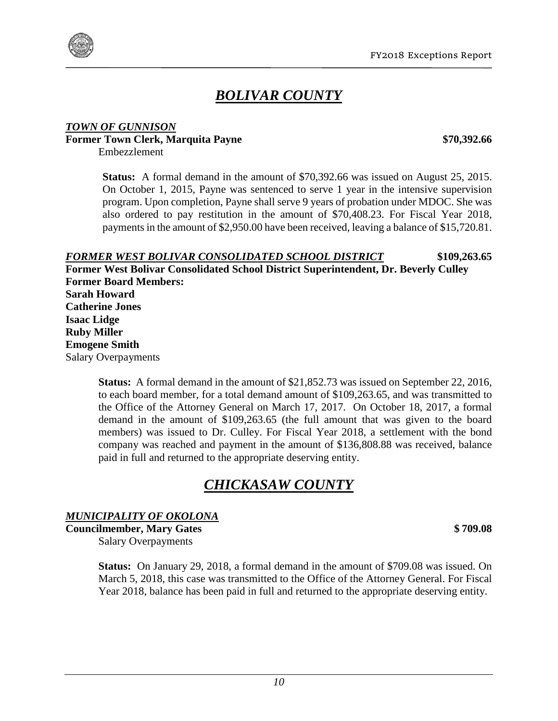



### *BOLIVAR COUNTY*

### *TOWN OF GUNNISON* **Former Town Clerk, Marquita Payne \$70,392.66**

Embezzlement

**Status:** A formal demand in the amount of \$70,392.66 was issued on August 25, 2015. On October 1, 2015, Payne was sentenced to serve 1 year in the intensive supervision program. Upon completion, Payne shall serve 9 years of probation under MDOC. She was also ordered to pay restitution in the amount of \$70,408.23. For Fiscal Year 2018, payments in the amount of \$2,950.00 have been received, leaving a balance of \$15,720.81.

#### *FORMER WEST BOLIVAR CONSOLIDATED SCHOOL DISTRICT* **\$109,263.65**

**Former West Bolivar Consolidated School District Superintendent, Dr. Beverly Culley Former Board Members: Sarah Howard Catherine Jones Isaac Lidge Ruby Miller Emogene Smith** Salary Overpayments

**Status:** A formal demand in the amount of \$21,852.73 was issued on September 22, 2016, to each board member, for a total demand amount of \$109,263.65, and was transmitted to the Office of the Attorney General on March 17, 2017. On October 18, 2017, a formal demand in the amount of \$109,263.65 (the full amount that was given to the board members) was issued to Dr. Culley. For Fiscal Year 2018, a settlement with the bond company was reached and payment in the amount of \$136,808.88 was received, balance paid in full and returned to the appropriate deserving entity.

### *CHICKASAW COUNTY*

#### *MUNICIPALITY OF OKOLONA*

**Councilmember, Mary Gates \$ 709.08** Salary Overpayments

**Status:** On January 29, 2018, a formal demand in the amount of \$709.08 was issued. On March 5, 2018, this case was transmitted to the Office of the Attorney General. For Fiscal Year 2018, balance has been paid in full and returned to the appropriate deserving entity.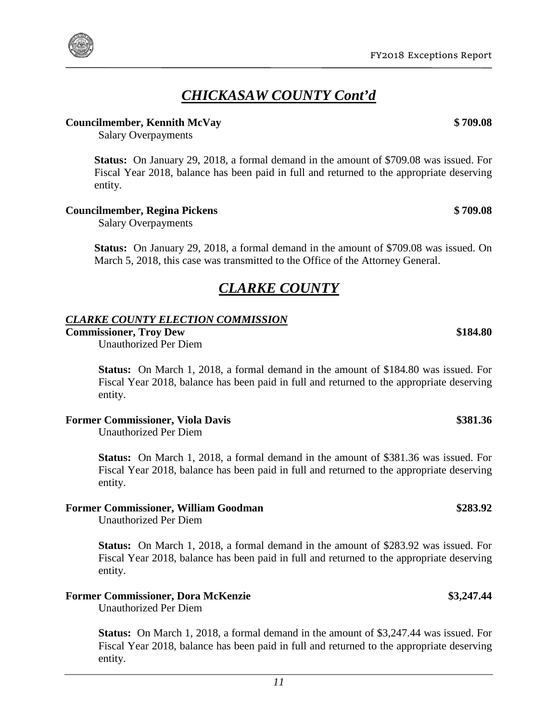### *CHICKASAW COUNTY Cont'd*

#### **Councilmember, Kennith McVay \$ 709.08**

Salary Overpayments

**Status:** On January 29, 2018, a formal demand in the amount of \$709.08 was issued. For Fiscal Year 2018, balance has been paid in full and returned to the appropriate deserving entity.

#### **Councilmember, Regina Pickens \$ 709.08**

Salary Overpayments

**Status:** On January 29, 2018, a formal demand in the amount of \$709.08 was issued. On March 5, 2018, this case was transmitted to the Office of the Attorney General.

### *CLARKE COUNTY*

#### *CLARKE COUNTY ELECTION COMMISSION*

#### **Commissioner, Troy Dew \$184.80**

Unauthorized Per Diem

**Status:** On March 1, 2018, a formal demand in the amount of \$184.80 was issued. For Fiscal Year 2018, balance has been paid in full and returned to the appropriate deserving entity.

#### **Former Commissioner, Viola Davis 1988 1988 1988 1988 1988 1988 1988 1988 1988 1988 1988 1988 1988 1988 1988 1988 1988 1988 1988 1988 1988 1988 1988 1988 1988 1988 1988**

Unauthorized Per Diem

**Status:** On March 1, 2018, a formal demand in the amount of \$381.36 was issued. For Fiscal Year 2018, balance has been paid in full and returned to the appropriate deserving entity.

#### **Former Commissioner, William Goodman \$283.92**

Unauthorized Per Diem

**Status:** On March 1, 2018, a formal demand in the amount of \$283.92 was issued. For Fiscal Year 2018, balance has been paid in full and returned to the appropriate deserving entity.

#### **Former Commissioner, Dora McKenzie \$3,247.44**

Unauthorized Per Diem

**Status:** On March 1, 2018, a formal demand in the amount of \$3,247.44 was issued. For Fiscal Year 2018, balance has been paid in full and returned to the appropriate deserving entity.

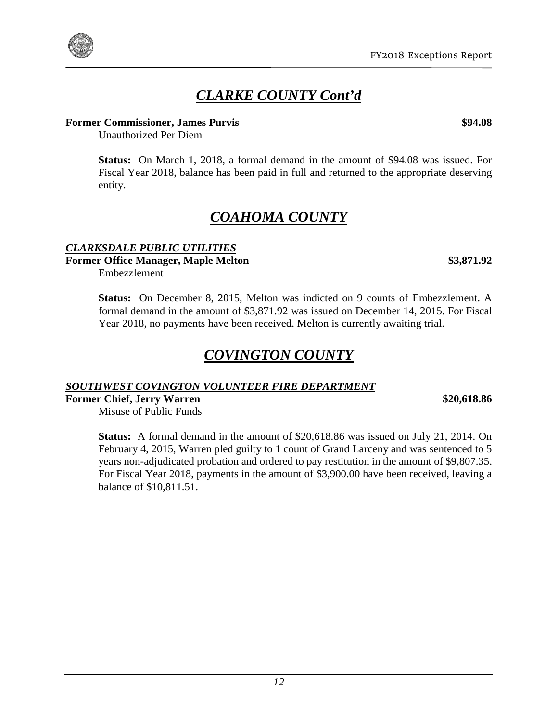### *CLARKE COUNTY Cont'd*

#### **Former Commissioner, James Purvis \$94.08**

Unauthorized Per Diem

**Status:** On March 1, 2018, a formal demand in the amount of \$94.08 was issued. For Fiscal Year 2018, balance has been paid in full and returned to the appropriate deserving entity.

### *COAHOMA COUNTY*

#### *CLARKSDALE PUBLIC UTILITIES*

**Former Office Manager, Maple Melton \$3,871.92**

Embezzlement

**Status:** On December 8, 2015, Melton was indicted on 9 counts of Embezzlement. A formal demand in the amount of \$3,871.92 was issued on December 14, 2015. For Fiscal Year 2018, no payments have been received. Melton is currently awaiting trial.

### *COVINGTON COUNTY*

#### *SOUTHWEST COVINGTON VOLUNTEER FIRE DEPARTMENT*

**Former Chief, Jerry Warren \$20,618.86**

Misuse of Public Funds

**Status:** A formal demand in the amount of \$20,618.86 was issued on July 21, 2014. On February 4, 2015, Warren pled guilty to 1 count of Grand Larceny and was sentenced to 5 years non-adjudicated probation and ordered to pay restitution in the amount of \$9,807.35. For Fiscal Year 2018, payments in the amount of \$3,900.00 have been received, leaving a balance of \$10,811.51.

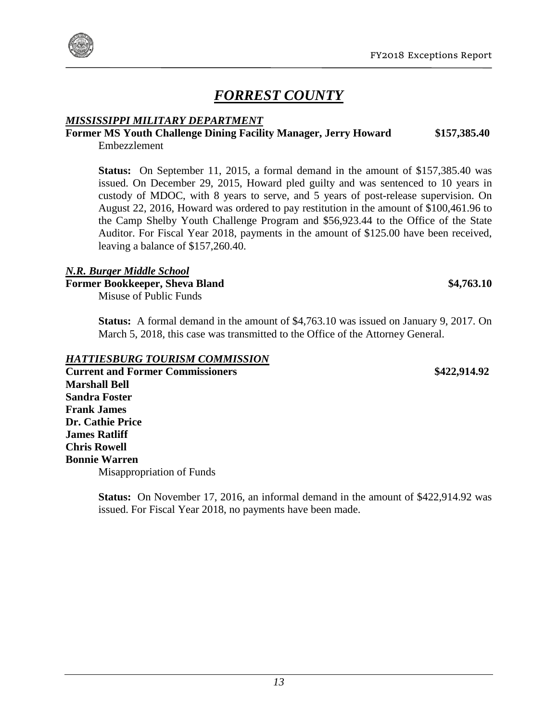### *FORREST COUNTY*

#### *MISSISSIPPI MILITARY DEPARTMENT*

#### **Former MS Youth Challenge Dining Facility Manager, Jerry Howard \$157,385.40** Embezzlement

**Status:** On September 11, 2015, a formal demand in the amount of \$157,385.40 was issued. On December 29, 2015, Howard pled guilty and was sentenced to 10 years in custody of MDOC, with 8 years to serve, and 5 years of post-release supervision. On August 22, 2016, Howard was ordered to pay restitution in the amount of \$100,461.96 to the Camp Shelby Youth Challenge Program and \$56,923.44 to the Office of the State Auditor. For Fiscal Year 2018, payments in the amount of \$125.00 have been received, leaving a balance of \$157,260.40.

#### *N.R. Burger Middle School*

**Former Bookkeeper, Sheva Bland \$4,763.10** Misuse of Public Funds

**Status:** A formal demand in the amount of \$4,763.10 was issued on January 9, 2017. On March 5, 2018, this case was transmitted to the Office of the Attorney General.

#### *HATTIESBURG TOURISM COMMISSION*

**Current and Former Commissioners \$422,914.92 Marshall Bell Sandra Foster Frank James Dr. Cathie Price James Ratliff Chris Rowell Bonnie Warren** Misappropriation of Funds

**Status:** On November 17, 2016, an informal demand in the amount of \$422,914.92 was issued. For Fiscal Year 2018, no payments have been made.

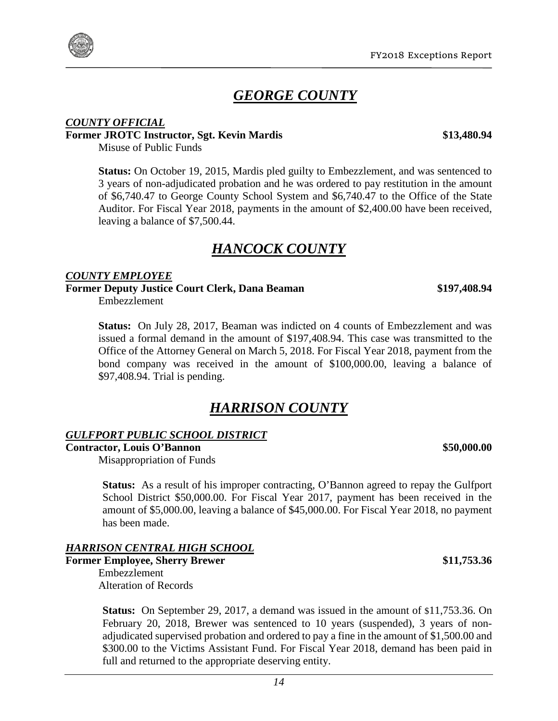### *GEORGE COUNTY*

#### *COUNTY OFFICIAL* **Former JROTC Instructor, Sgt. Kevin Mardis \$13,480.94**

Misuse of Public Funds

**Status:** On October 19, 2015, Mardis pled guilty to Embezzlement, and was sentenced to 3 years of non-adjudicated probation and he was ordered to pay restitution in the amount of \$6,740.47 to George County School System and \$6,740.47 to the Office of the State Auditor. For Fiscal Year 2018, payments in the amount of \$2,400.00 have been received, leaving a balance of \$7,500.44.

### *HANCOCK COUNTY*

#### *COUNTY EMPLOYEE*

**Former Deputy Justice Court Clerk, Dana Beaman \$197,408.94**

Embezzlement

**Status:** On July 28, 2017, Beaman was indicted on 4 counts of Embezzlement and was issued a formal demand in the amount of \$197,408.94. This case was transmitted to the Office of the Attorney General on March 5, 2018. For Fiscal Year 2018, payment from the bond company was received in the amount of \$100,000.00, leaving a balance of \$97,408.94. Trial is pending.

### *HARRISON COUNTY*

#### *GULFPORT PUBLIC SCHOOL DISTRICT*

#### **Contractor, Louis O'Bannon \$50,000.00**

Misappropriation of Funds

**Status:** As a result of his improper contracting, O'Bannon agreed to repay the Gulfport School District \$50,000.00. For Fiscal Year 2017, payment has been received in the amount of \$5,000.00, leaving a balance of \$45,000.00. For Fiscal Year 2018, no payment has been made.

#### *HARRISON CENTRAL HIGH SCHOOL*

**Former Employee, Sherry Brewer \$11,753.36** Embezzlement Alteration of Records

**Status:** On September 29, 2017, a demand was issued in the amount of \$11,753.36. On February 20, 2018, Brewer was sentenced to 10 years (suspended), 3 years of nonadjudicated supervised probation and ordered to pay a fine in the amount of \$1,500.00 and \$300.00 to the Victims Assistant Fund. For Fiscal Year 2018, demand has been paid in full and returned to the appropriate deserving entity.

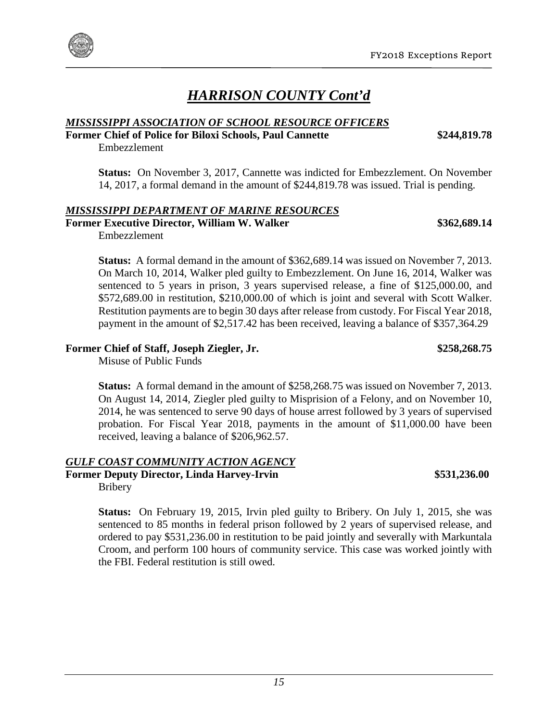

## *HARRISON COUNTY Cont'd*

#### *MISSISSIPPI ASSOCIATION OF SCHOOL RESOURCE OFFICERS*

**Former Chief of Police for Biloxi Schools, Paul Cannette \$244,819.78** Embezzlement

**Status:** On November 3, 2017, Cannette was indicted for Embezzlement. On November 14, 2017, a formal demand in the amount of \$244,819.78 was issued. Trial is pending.

#### *MISSISSIPPI DEPARTMENT OF MARINE RESOURCES*

**Former Executive Director, William W. Walker \$362,689.14** 

Embezzlement

**Status:** A formal demand in the amount of \$362,689.14 was issued on November 7, 2013. On March 10, 2014, Walker pled guilty to Embezzlement. On June 16, 2014, Walker was sentenced to 5 years in prison, 3 years supervised release, a fine of \$125,000.00, and \$572,689.00 in restitution, \$210,000.00 of which is joint and several with Scott Walker. Restitution payments are to begin 30 days after release from custody. For Fiscal Year 2018, payment in the amount of \$2,517.42 has been received, leaving a balance of \$357,364.29

#### Former Chief of Staff, Joseph Ziegler, Jr.  $$258,268.75$

Misuse of Public Funds

**Status:** A formal demand in the amount of \$258,268.75 was issued on November 7, 2013. On August 14, 2014, Ziegler pled guilty to Misprision of a Felony, and on November 10, 2014, he was sentenced to serve 90 days of house arrest followed by 3 years of supervised probation. For Fiscal Year 2018, payments in the amount of \$11,000.00 have been received, leaving a balance of \$206,962.57.

### *GULF COAST COMMUNITY ACTION AGENCY*

**Former Deputy Director, Linda Harvey-Irvin** \$531,236.00 Bribery

**Status:** On February 19, 2015, Irvin pled guilty to Bribery. On July 1, 2015, she was sentenced to 85 months in federal prison followed by 2 years of supervised release, and ordered to pay \$531,236.00 in restitution to be paid jointly and severally with Markuntala Croom, and perform 100 hours of community service. This case was worked jointly with the FBI. Federal restitution is still owed.

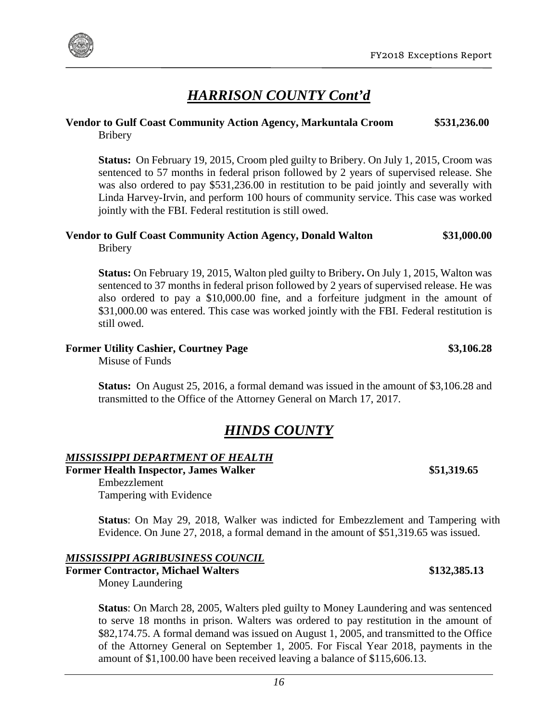

**Status**: On March 28, 2005, Walters pled guilty to Money Laundering and was sentenced to serve 18 months in prison. Walters was ordered to pay restitution in the amount of \$82,174.75. A formal demand was issued on August 1, 2005, and transmitted to the Office of the Attorney General on September 1, 2005. For Fiscal Year 2018, payments in the amount of \$1,100.00 have been received leaving a balance of \$115,606.13.



## *HARRISON COUNTY Cont'd*

#### **Vendor to Gulf Coast Community Action Agency, Markuntala Croom \$531,236.00** Bribery

**Status:** On February 19, 2015, Croom pled guilty to Bribery. On July 1, 2015, Croom was sentenced to 57 months in federal prison followed by 2 years of supervised release. She was also ordered to pay \$531,236.00 in restitution to be paid jointly and severally with Linda Harvey-Irvin, and perform 100 hours of community service. This case was worked jointly with the FBI. Federal restitution is still owed.

#### **Vendor to Gulf Coast Community Action Agency, Donald Walton \$31,000.00** Bribery

**Status:** On February 19, 2015, Walton pled guilty to Bribery**.** On July 1, 2015, Walton was sentenced to 37 months in federal prison followed by 2 years of supervised release. He was also ordered to pay a \$10,000.00 fine, and a forfeiture judgment in the amount of \$31,000.00 was entered. This case was worked jointly with the FBI. Federal restitution is still owed.

#### **Former Utility Cashier, Courtney Page \$3,106.28**

Misuse of Funds

**Status:** On August 25, 2016, a formal demand was issued in the amount of \$3,106.28 and transmitted to the Office of the Attorney General on March 17, 2017.

### *HINDS COUNTY*

### *MISSISSIPPI DEPARTMENT OF HEALTH*

#### **Former Health Inspector, James Walker \$51,319.65**

Embezzlement Tampering with Evidence

**Status**: On May 29, 2018, Walker was indicted for Embezzlement and Tampering with Evidence. On June 27, 2018, a formal demand in the amount of \$51,319.65 was issued.

### *MISSISSIPPI AGRIBUSINESS COUNCIL*

**Former Contractor, Michael Walters \$132,385.13**  Money Laundering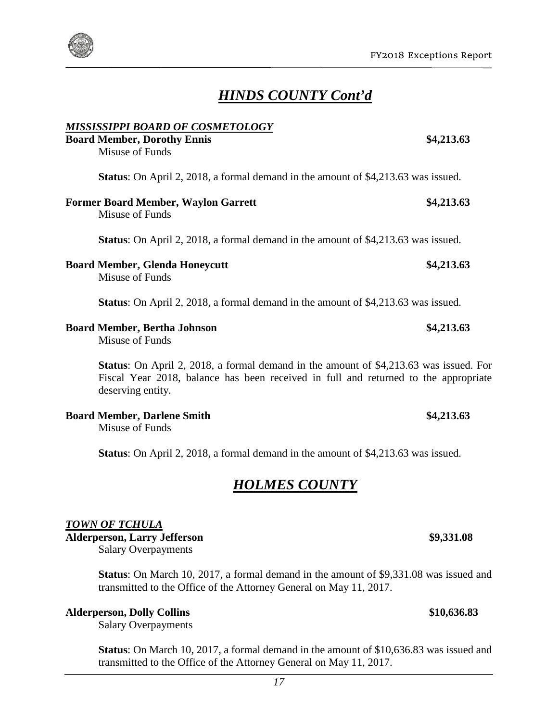## *HINDS COUNTY Cont'd*

## *MISSISSIPPI BOARD OF COSMETOLOGY* **Board Member, Dorothy Ennis \$4,213.63**  Misuse of Funds **Status**: On April 2, 2018, a formal demand in the amount of \$4,213.63 was issued. **Former Board Member, Waylon Garrett \$4,213.63**  Misuse of Funds **Status**: On April 2, 2018, a formal demand in the amount of \$4,213.63 was issued. **Board Member, Glenda Honeycutt \$4,213.63**  Misuse of Funds **Status**: On April 2, 2018, a formal demand in the amount of \$4,213.63 was issued. **Board Member, Bertha Johnson \$4,213.63**  Misuse of Funds **Status**: On April 2, 2018, a formal demand in the amount of \$4,213.63 was issued. For Fiscal Year 2018, balance has been received in full and returned to the appropriate deserving entity. **Board Member, Darlene Smith \$4,213.63**  Misuse of Funds **Status**: On April 2, 2018, a formal demand in the amount of \$4,213.63 was issued. *HOLMES COUNTY*

## *TOWN OF TCHULA*

**Alderperson, Larry Jefferson \$9,331.08**  Salary Overpayments

**Status**: On March 10, 2017, a formal demand in the amount of \$9,331.08 was issued and transmitted to the Office of the Attorney General on May 11, 2017.

#### **Alderperson, Dolly Collins \$10,636.83**

Salary Overpayments

**Status**: On March 10, 2017, a formal demand in the amount of \$10,636.83 was issued and transmitted to the Office of the Attorney General on May 11, 2017.

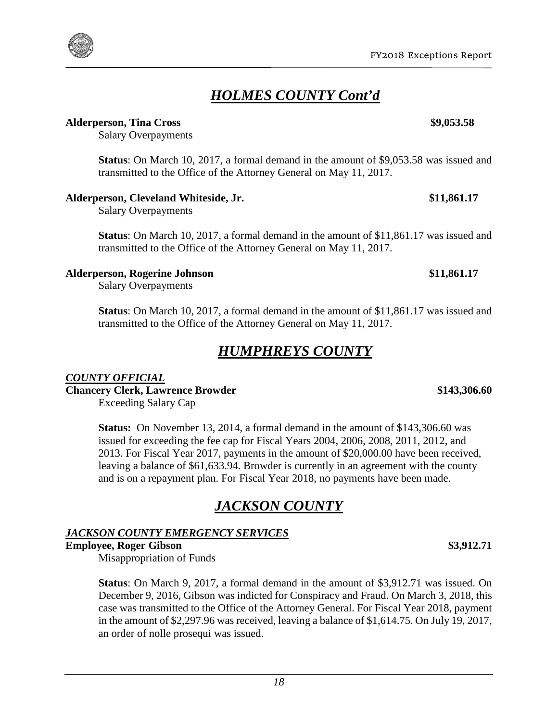### *HOLMES COUNTY Cont'd*

#### **Alderperson, Tina Cross \$9,053.58**

Salary Overpayments

**Status**: On March 10, 2017, a formal demand in the amount of \$9,053.58 was issued and transmitted to the Office of the Attorney General on May 11, 2017.

#### **Alderperson, Cleveland Whiteside, Jr. \$11,861.17**

Salary Overpayments

**Status**: On March 10, 2017, a formal demand in the amount of \$11,861.17 was issued and transmitted to the Office of the Attorney General on May 11, 2017.

#### **Alderperson, Rogerine Johnson \$11,861.17**

Salary Overpayments

**Status**: On March 10, 2017, a formal demand in the amount of \$11,861.17 was issued and transmitted to the Office of the Attorney General on May 11, 2017.

### *HUMPHREYS COUNTY*

#### *COUNTY OFFICIAL*

#### **Chancery Clerk, Lawrence Browder \$143,306.60**

Exceeding Salary Cap

**Status:** On November 13, 2014, a formal demand in the amount of \$143,306.60 was issued for exceeding the fee cap for Fiscal Years 2004, 2006, 2008, 2011, 2012, and 2013. For Fiscal Year 2017, payments in the amount of \$20,000.00 have been received, leaving a balance of \$61,633.94. Browder is currently in an agreement with the county and is on a repayment plan. For Fiscal Year 2018, no payments have been made.

### *JACKSON COUNTY*

#### *JACKSON COUNTY EMERGENCY SERVICES*

#### **Employee, Roger Gibson \$3,912.71**

Misappropriation of Funds

**Status**: On March 9, 2017, a formal demand in the amount of \$3,912.71 was issued. On December 9, 2016, Gibson was indicted for Conspiracy and Fraud. On March 3, 2018, this case was transmitted to the Office of the Attorney General. For Fiscal Year 2018, payment in the amount of \$2,297.96 was received, leaving a balance of \$1,614.75. On July 19, 2017, an order of nolle prosequi was issued.

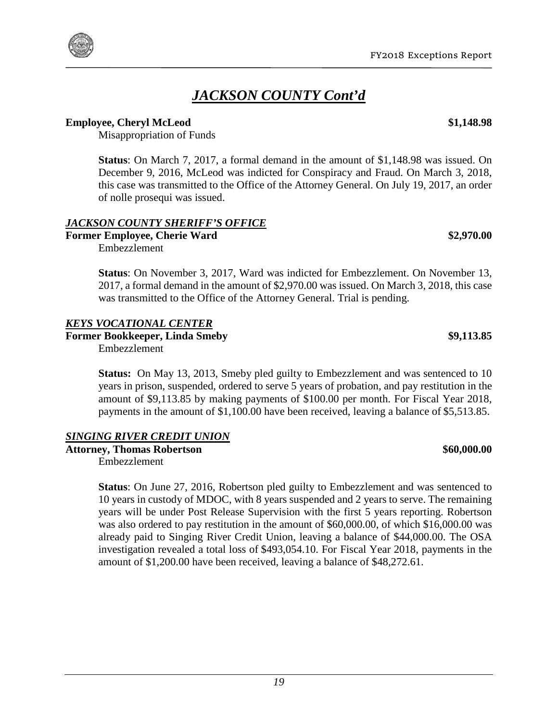### *JACKSON COUNTY Cont'd*

#### **Employee, Cheryl McLeod \$1,148.98**

Misappropriation of Funds

**Status**: On March 7, 2017, a formal demand in the amount of \$1,148.98 was issued. On December 9, 2016, McLeod was indicted for Conspiracy and Fraud. On March 3, 2018, this case was transmitted to the Office of the Attorney General. On July 19, 2017, an order of nolle prosequi was issued.

#### *JACKSON COUNTY SHERIFF'S OFFICE*

**Former Employee, Cherie Ward \$2,970.00** Embezzlement

**Status**: On November 3, 2017, Ward was indicted for Embezzlement. On November 13, 2017, a formal demand in the amount of \$2,970.00 was issued. On March 3, 2018, this case was transmitted to the Office of the Attorney General. Trial is pending.

#### *KEYS VOCATIONAL CENTER*

**Former Bookkeeper, Linda Smeby \$9,113.85**

Embezzlement

**Status:** On May 13, 2013, Smeby pled guilty to Embezzlement and was sentenced to 10 years in prison, suspended, ordered to serve 5 years of probation, and pay restitution in the amount of \$9,113.85 by making payments of \$100.00 per month. For Fiscal Year 2018, payments in the amount of \$1,100.00 have been received, leaving a balance of \$5,513.85.

#### *SINGING RIVER CREDIT UNION*

**Attorney, Thomas Robertson \$60,000.00**

Embezzlement

**Status**: On June 27, 2016, Robertson pled guilty to Embezzlement and was sentenced to 10 years in custody of MDOC, with 8 years suspended and 2 years to serve. The remaining years will be under Post Release Supervision with the first 5 years reporting. Robertson was also ordered to pay restitution in the amount of \$60,000.00, of which \$16,000.00 was already paid to Singing River Credit Union, leaving a balance of \$44,000.00. The OSA investigation revealed a total loss of \$493,054.10. For Fiscal Year 2018, payments in the amount of \$1,200.00 have been received, leaving a balance of \$48,272.61.

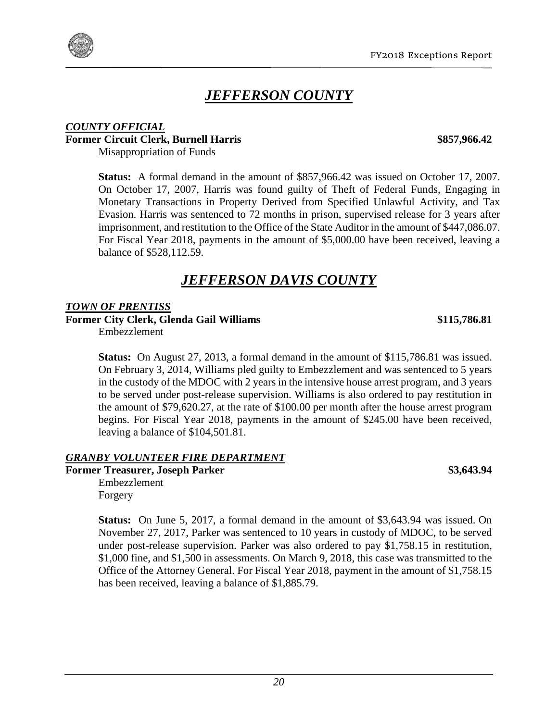### *JEFFERSON COUNTY*

### *COUNTY OFFICIAL* **Former Circuit Clerk, Burnell Harris \$857,966.42**

Misappropriation of Funds

**Status:** A formal demand in the amount of \$857,966.42 was issued on October 17, 2007. On October 17, 2007, Harris was found guilty of Theft of Federal Funds, Engaging in Monetary Transactions in Property Derived from Specified Unlawful Activity, and Tax Evasion. Harris was sentenced to 72 months in prison, supervised release for 3 years after imprisonment, and restitution to the Office of the State Auditor in the amount of \$447,086.07. For Fiscal Year 2018, payments in the amount of \$5,000.00 have been received, leaving a balance of \$528,112.59.

### *JEFFERSON DAVIS COUNTY*

#### *TOWN OF PRENTISS*

**Former City Clerk, Glenda Gail Williams \$115,786.81**

Embezzlement

**Status:** On August 27, 2013, a formal demand in the amount of \$115,786.81 was issued. On February 3, 2014, Williams pled guilty to Embezzlement and was sentenced to 5 years in the custody of the MDOC with 2 years in the intensive house arrest program, and 3 years to be served under post-release supervision. Williams is also ordered to pay restitution in the amount of \$79,620.27, at the rate of \$100.00 per month after the house arrest program begins. For Fiscal Year 2018, payments in the amount of \$245.00 have been received, leaving a balance of \$104,501.81.

#### *GRANBY VOLUNTEER FIRE DEPARTMENT*

**Former Treasurer, Joseph Parker \$3,643.94**

Embezzlement Forgery

**Status:** On June 5, 2017, a formal demand in the amount of \$3,643.94 was issued. On November 27, 2017, Parker was sentenced to 10 years in custody of MDOC, to be served under post-release supervision. Parker was also ordered to pay \$1,758.15 in restitution, \$1,000 fine, and \$1,500 in assessments. On March 9, 2018, this case was transmitted to the Office of the Attorney General. For Fiscal Year 2018, payment in the amount of \$1,758.15 has been received, leaving a balance of \$1,885.79.

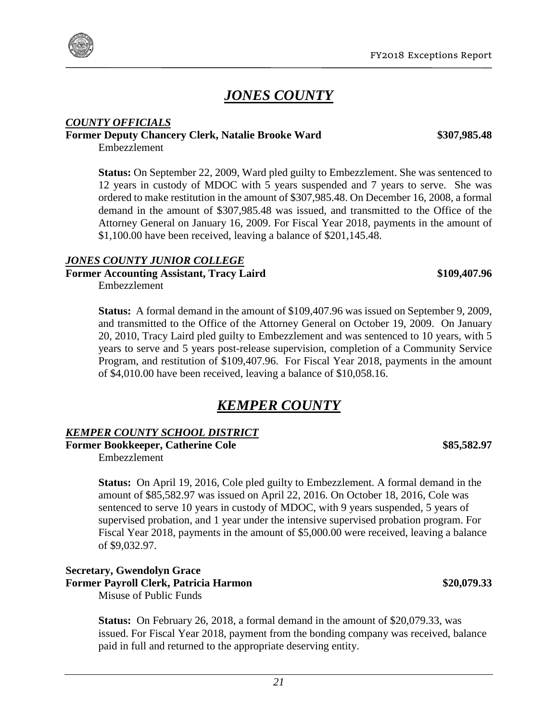### *JONES COUNTY*

### *COUNTY OFFICIALS* **Former Deputy Chancery Clerk, Natalie Brooke Ward \$307,985.48**

Embezzlement

**Status:** On September 22, 2009, Ward pled guilty to Embezzlement. She was sentenced to 12 years in custody of MDOC with 5 years suspended and 7 years to serve. She was ordered to make restitution in the amount of \$307,985.48. On December 16, 2008, a formal demand in the amount of \$307,985.48 was issued, and transmitted to the Office of the Attorney General on January 16, 2009. For Fiscal Year 2018, payments in the amount of \$1,100.00 have been received, leaving a balance of \$201,145.48.

#### *JONES COUNTY JUNIOR COLLEGE*

#### Former Accounting Assistant, Tracy Laird **\$109,407.96**

Embezzlement

**Status:** A formal demand in the amount of \$109,407.96 was issued on September 9, 2009, and transmitted to the Office of the Attorney General on October 19, 2009. On January 20, 2010, Tracy Laird pled guilty to Embezzlement and was sentenced to 10 years, with 5 years to serve and 5 years post-release supervision, completion of a Community Service Program, and restitution of \$109,407.96. For Fiscal Year 2018, payments in the amount of \$4,010.00 have been received, leaving a balance of \$10,058.16.

### *KEMPER COUNTY*

#### *KEMPER COUNTY SCHOOL DISTRICT*

**Former Bookkeeper, Catherine Cole \$85,582.97** Embezzlement

**Status:** On April 19, 2016, Cole pled guilty to Embezzlement. A formal demand in the amount of \$85,582.97 was issued on April 22, 2016. On October 18, 2016, Cole was sentenced to serve 10 years in custody of MDOC, with 9 years suspended, 5 years of supervised probation, and 1 year under the intensive supervised probation program. For Fiscal Year 2018, payments in the amount of \$5,000.00 were received, leaving a balance of \$9,032.97.

**Secretary, Gwendolyn Grace Former Payroll Clerk, Patricia Harmon \$20,079.33** Misuse of Public Funds

**Status:** On February 26, 2018, a formal demand in the amount of \$20,079.33, was issued. For Fiscal Year 2018, payment from the bonding company was received, balance paid in full and returned to the appropriate deserving entity.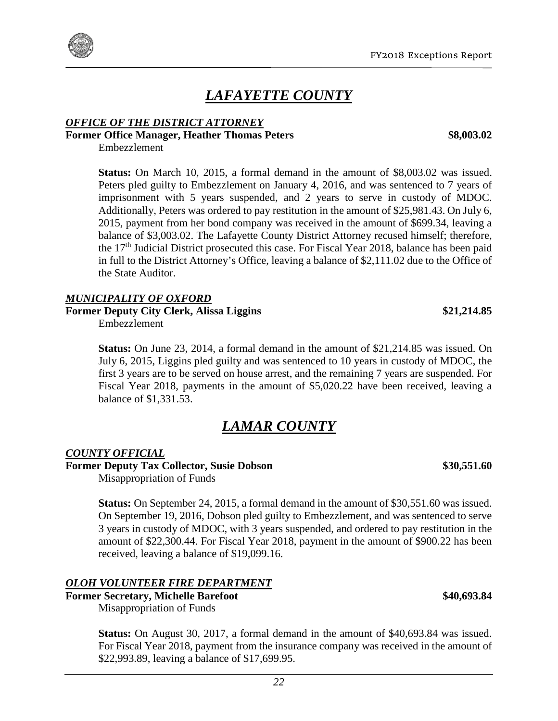### *LAFAYETTE COUNTY*

#### *OFFICE OF THE DISTRICT ATTORNEY*

**Former Office Manager, Heather Thomas Peters \$8,003.02** Embezzlement

**Status:** On March 10, 2015, a formal demand in the amount of \$8,003.02 was issued. Peters pled guilty to Embezzlement on January 4, 2016, and was sentenced to 7 years of imprisonment with 5 years suspended, and 2 years to serve in custody of MDOC. Additionally, Peters was ordered to pay restitution in the amount of \$25,981.43. On July 6, 2015, payment from her bond company was received in the amount of \$699.34, leaving a balance of \$3,003.02. The Lafayette County District Attorney recused himself; therefore, the 17th Judicial District prosecuted this case. For Fiscal Year 2018, balance has been paid in full to the District Attorney's Office, leaving a balance of \$2,111.02 due to the Office of the State Auditor.

#### *MUNICIPALITY OF OXFORD*

**Former Deputy City Clerk, Alissa Liggins \$21,214.85** Embezzlement

**Status:** On June 23, 2014, a formal demand in the amount of \$21,214.85 was issued. On July 6, 2015, Liggins pled guilty and was sentenced to 10 years in custody of MDOC, the first 3 years are to be served on house arrest, and the remaining 7 years are suspended. For Fiscal Year 2018, payments in the amount of \$5,020.22 have been received, leaving a balance of \$1,331.53.

### *LAMAR COUNTY*

#### *COUNTY OFFICIAL*

### **Former Deputy Tax Collector, Susie Dobson \$30,551.60**

Misappropriation of Funds

**Status:** On September 24, 2015, a formal demand in the amount of \$30,551.60 was issued. On September 19, 2016, Dobson pled guilty to Embezzlement, and was sentenced to serve 3 years in custody of MDOC, with 3 years suspended, and ordered to pay restitution in the amount of \$22,300.44. For Fiscal Year 2018, payment in the amount of \$900.22 has been received, leaving a balance of \$19,099.16.

#### *OLOH VOLUNTEER FIRE DEPARTMENT*

**Former Secretary, Michelle Barefoot \$40,693.84** Misappropriation of Funds

**Status:** On August 30, 2017, a formal demand in the amount of \$40,693.84 was issued. For Fiscal Year 2018, payment from the insurance company was received in the amount of \$22,993.89, leaving a balance of \$17,699.95.

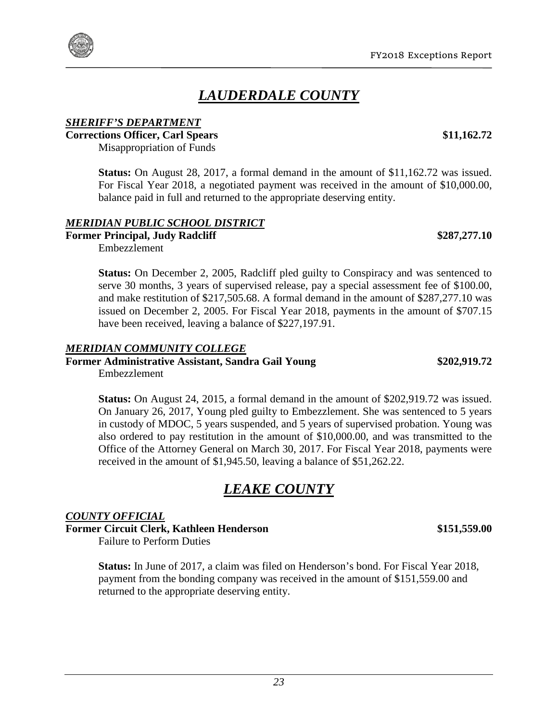### *LAUDERDALE COUNTY*

### *SHERIFF'S DEPARTMENT*

#### **Corrections Officer, Carl Spears \$11,162.72**

Misappropriation of Funds

**Status:** On August 28, 2017, a formal demand in the amount of \$11,162.72 was issued. For Fiscal Year 2018, a negotiated payment was received in the amount of \$10,000.00, balance paid in full and returned to the appropriate deserving entity.

#### *MERIDIAN PUBLIC SCHOOL DISTRICT*

**Former Principal, Judy Radcliff \$287,277.10** Embezzlement

**Status:** On December 2, 2005, Radcliff pled guilty to Conspiracy and was sentenced to serve 30 months, 3 years of supervised release, pay a special assessment fee of \$100.00, and make restitution of \$217,505.68. A formal demand in the amount of \$287,277.10 was issued on December 2, 2005. For Fiscal Year 2018, payments in the amount of \$707.15 have been received, leaving a balance of \$227,197.91.

#### *MERIDIAN COMMUNITY COLLEGE*

### **Former Administrative Assistant, Sandra Gail Young \$202,919.72**

Embezzlement

**Status:** On August 24, 2015, a formal demand in the amount of \$202,919.72 was issued. On January 26, 2017, Young pled guilty to Embezzlement. She was sentenced to 5 years in custody of MDOC, 5 years suspended, and 5 years of supervised probation. Young was also ordered to pay restitution in the amount of \$10,000.00, and was transmitted to the Office of the Attorney General on March 30, 2017. For Fiscal Year 2018, payments were received in the amount of \$1,945.50, leaving a balance of \$51,262.22.

### *LEAKE COUNTY*

#### *COUNTY OFFICIAL* **Former Circuit Clerk, Kathleen Henderson \$151,559.00**

Failure to Perform Duties

**Status:** In June of 2017, a claim was filed on Henderson's bond. For Fiscal Year 2018, payment from the bonding company was received in the amount of \$151,559.00 and returned to the appropriate deserving entity.

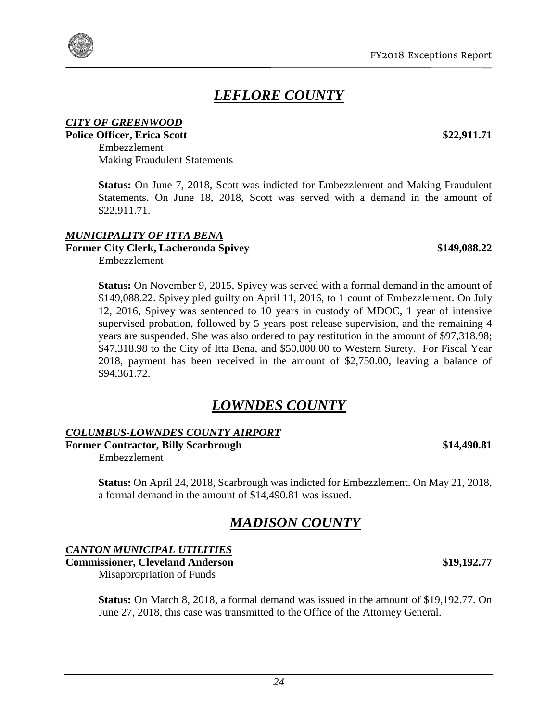### *LEFLORE COUNTY*

### *CITY OF GREENWOOD*

Police Officer, Erica Scott **\$22,911.71** Embezzlement Making Fraudulent Statements

**Status:** On June 7, 2018, Scott was indicted for Embezzlement and Making Fraudulent Statements. On June 18, 2018, Scott was served with a demand in the amount of \$22,911.71.

### *MUNICIPALITY OF ITTA BENA*

#### **Former City Clerk, Lacheronda Spivey \$149,088.22**

Embezzlement

**Status:** On November 9, 2015, Spivey was served with a formal demand in the amount of \$149,088.22. Spivey pled guilty on April 11, 2016, to 1 count of Embezzlement. On July 12, 2016, Spivey was sentenced to 10 years in custody of MDOC, 1 year of intensive supervised probation, followed by 5 years post release supervision, and the remaining 4 years are suspended. She was also ordered to pay restitution in the amount of \$97,318.98; \$47,318.98 to the City of Itta Bena, and \$50,000.00 to Western Surety. For Fiscal Year 2018, payment has been received in the amount of \$2,750.00, leaving a balance of \$94,361.72.

### *LOWNDES COUNTY*

#### *COLUMBUS-LOWNDES COUNTY AIRPORT*

Former Contractor, Billy Scarbrough **\$14,490.81** 

Embezzlement

**Status:** On April 24, 2018, Scarbrough was indicted for Embezzlement. On May 21, 2018, a formal demand in the amount of \$14,490.81 was issued.

### *MADISON COUNTY*

### *CANTON MUNICIPAL UTILITIES*

**Commissioner, Cleveland Anderson \$19,192.77**

Misappropriation of Funds

**Status:** On March 8, 2018, a formal demand was issued in the amount of \$19,192.77. On June 27, 2018, this case was transmitted to the Office of the Attorney General.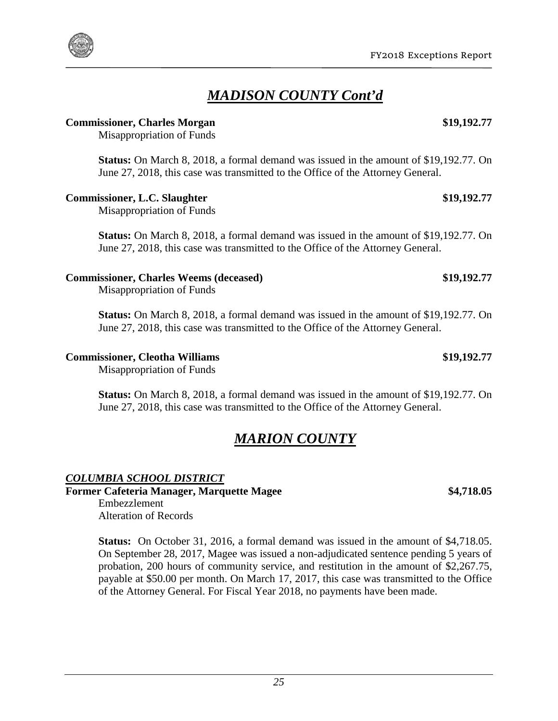### *MADISON COUNTY Cont'd*

#### **Commissioner, Charles Morgan \$19,192.77**

Misappropriation of Funds

**Status:** On March 8, 2018, a formal demand was issued in the amount of \$19,192.77. On June 27, 2018, this case was transmitted to the Office of the Attorney General.

#### **Commissioner, L.C. Slaughter \$19,192.77**

Misappropriation of Funds

**Status:** On March 8, 2018, a formal demand was issued in the amount of \$19,192.77. On June 27, 2018, this case was transmitted to the Office of the Attorney General.

#### **Commissioner, Charles Weems (deceased) \$19,192.77**

Misappropriation of Funds

**Status:** On March 8, 2018, a formal demand was issued in the amount of \$19,192.77. On June 27, 2018, this case was transmitted to the Office of the Attorney General.

#### **Commissioner, Cleotha Williams \$19,192.77**

Misappropriation of Funds

**Status:** On March 8, 2018, a formal demand was issued in the amount of \$19,192.77. On June 27, 2018, this case was transmitted to the Office of the Attorney General.

### *MARION COUNTY*

#### *COLUMBIA SCHOOL DISTRICT*

**Former Cafeteria Manager, Marquette Magee \$4,718.05** Embezzlement Alteration of Records

**Status:** On October 31, 2016, a formal demand was issued in the amount of \$4,718.05. On September 28, 2017, Magee was issued a non-adjudicated sentence pending 5 years of probation, 200 hours of community service, and restitution in the amount of \$2,267.75, payable at \$50.00 per month. On March 17, 2017, this case was transmitted to the Office of the Attorney General. For Fiscal Year 2018, no payments have been made.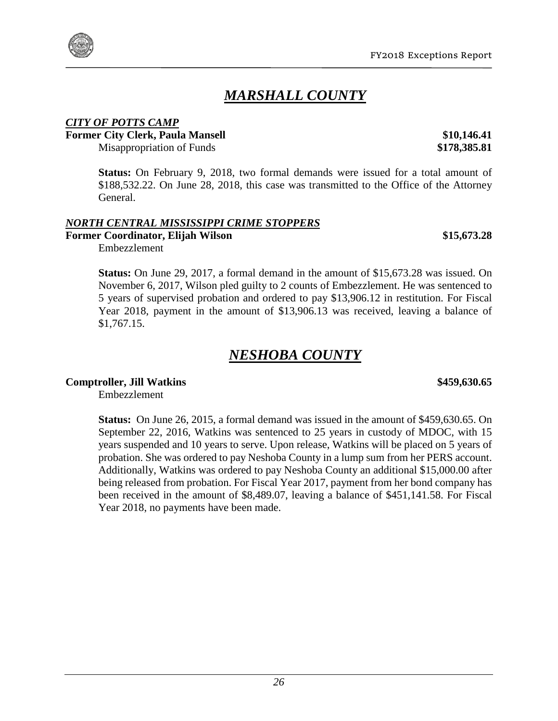### *MARSHALL COUNTY*

### *CITY OF POTTS CAMP*

### **Former City Clerk, Paula Mansell** \$10,146.41

Misappropriation of Funds **\$178,385.81**

**Status:** On February 9, 2018, two formal demands were issued for a total amount of \$188,532.22. On June 28, 2018, this case was transmitted to the Office of the Attorney General.

#### *NORTH CENTRAL MISSISSIPPI CRIME STOPPERS*

**Former Coordinator, Elijah Wilson 1988 515,673.28** Embezzlement

**Status:** On June 29, 2017, a formal demand in the amount of \$15,673.28 was issued. On November 6, 2017, Wilson pled guilty to 2 counts of Embezzlement. He was sentenced to 5 years of supervised probation and ordered to pay \$13,906.12 in restitution. For Fiscal Year 2018, payment in the amount of \$13,906.13 was received, leaving a balance of \$1,767.15.

### *NESHOBA COUNTY*

**Comptroller, Jill Watkins \$459,630.65**

Embezzlement

**Status:** On June 26, 2015, a formal demand was issued in the amount of \$459,630.65. On September 22, 2016, Watkins was sentenced to 25 years in custody of MDOC, with 15 years suspended and 10 years to serve. Upon release, Watkins will be placed on 5 years of probation. She was ordered to pay Neshoba County in a lump sum from her PERS account. Additionally, Watkins was ordered to pay Neshoba County an additional \$15,000.00 after being released from probation. For Fiscal Year 2017, payment from her bond company has been received in the amount of \$8,489.07, leaving a balance of \$451,141.58. For Fiscal Year 2018, no payments have been made.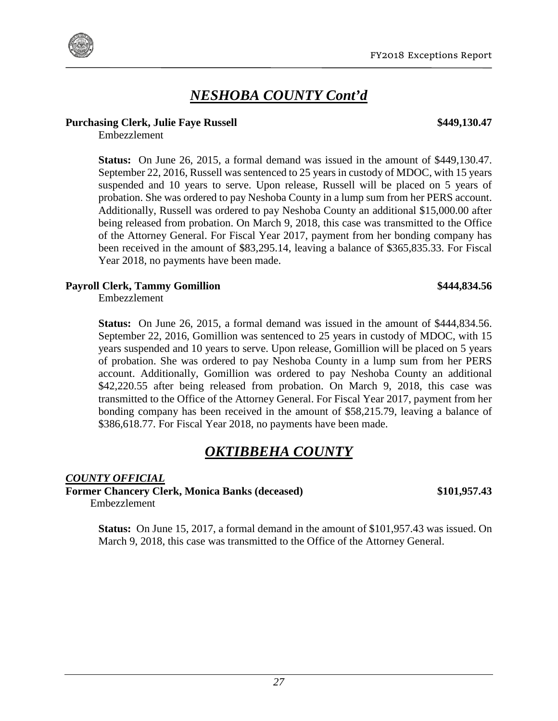### *NESHOBA COUNTY Cont'd*

#### **Purchasing Clerk, Julie Faye Russell <b>8449,130.47 \$449,130.47**

Embezzlement

**Status:** On June 26, 2015, a formal demand was issued in the amount of \$449,130.47. September 22, 2016, Russell was sentenced to 25 years in custody of MDOC, with 15 years suspended and 10 years to serve. Upon release, Russell will be placed on 5 years of probation. She was ordered to pay Neshoba County in a lump sum from her PERS account. Additionally, Russell was ordered to pay Neshoba County an additional \$15,000.00 after being released from probation. On March 9, 2018, this case was transmitted to the Office of the Attorney General. For Fiscal Year 2017, payment from her bonding company has been received in the amount of \$83,295.14, leaving a balance of \$365,835.33. For Fiscal Year 2018, no payments have been made.

#### **Payroll Clerk, Tammy Gomillion \$444,834.56**

Embezzlement

**Status:** On June 26, 2015, a formal demand was issued in the amount of \$444,834.56. September 22, 2016, Gomillion was sentenced to 25 years in custody of MDOC, with 15 years suspended and 10 years to serve. Upon release, Gomillion will be placed on 5 years of probation. She was ordered to pay Neshoba County in a lump sum from her PERS account. Additionally, Gomillion was ordered to pay Neshoba County an additional \$42,220.55 after being released from probation. On March 9, 2018, this case was transmitted to the Office of the Attorney General. For Fiscal Year 2017, payment from her bonding company has been received in the amount of \$58,215.79, leaving a balance of \$386,618.77. For Fiscal Year 2018, no payments have been made.

### *OKTIBBEHA COUNTY*

#### *COUNTY OFFICIAL*

**Former Chancery Clerk, Monica Banks (deceased) \$101,957.43** Embezzlement

**Status:** On June 15, 2017, a formal demand in the amount of \$101,957.43 was issued. On March 9, 2018, this case was transmitted to the Office of the Attorney General.

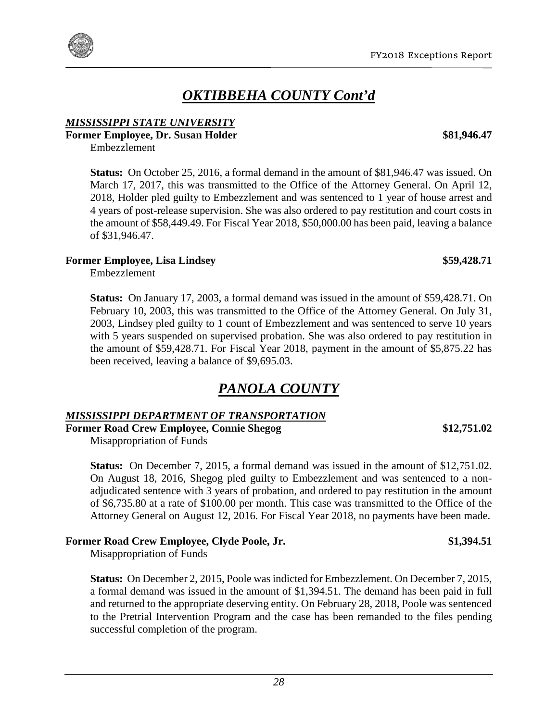### *OKTIBBEHA COUNTY Cont'd*

### *MISSISSIPPI STATE UNIVERSITY*

**Former Employee, Dr. Susan Holder \$81,946.47** 

Embezzlement

**Status:** On October 25, 2016, a formal demand in the amount of \$81,946.47 was issued. On March 17, 2017, this was transmitted to the Office of the Attorney General. On April 12, 2018, Holder pled guilty to Embezzlement and was sentenced to 1 year of house arrest and 4 years of post-release supervision. She was also ordered to pay restitution and court costs in the amount of \$58,449.49. For Fiscal Year 2018, \$50,000.00 has been paid, leaving a balance of \$31,946.47.

#### **Former Employee, Lisa Lindsey \$59,428.71**

Embezzlement

**Status:** On January 17, 2003, a formal demand was issued in the amount of \$59,428.71. On February 10, 2003, this was transmitted to the Office of the Attorney General. On July 31, 2003, Lindsey pled guilty to 1 count of Embezzlement and was sentenced to serve 10 years with 5 years suspended on supervised probation. She was also ordered to pay restitution in the amount of \$59,428.71. For Fiscal Year 2018, payment in the amount of \$5,875.22 has been received, leaving a balance of \$9,695.03.

### *PANOLA COUNTY*

#### *MISSISSIPPI DEPARTMENT OF TRANSPORTATION*

**Former Road Crew Employee, Connie Shegog \$12,751.02** Misappropriation of Funds

**Status:** On December 7, 2015, a formal demand was issued in the amount of \$12,751.02. On August 18, 2016, Shegog pled guilty to Embezzlement and was sentenced to a nonadjudicated sentence with 3 years of probation, and ordered to pay restitution in the amount of \$6,735.80 at a rate of \$100.00 per month. This case was transmitted to the Office of the Attorney General on August 12, 2016. For Fiscal Year 2018, no payments have been made.

#### **Former Road Crew Employee, Clyde Poole, Jr. \$1,394.51**

Misappropriation of Funds

**Status:** On December 2, 2015, Poole was indicted for Embezzlement. On December 7, 2015, a formal demand was issued in the amount of \$1,394.51. The demand has been paid in full and returned to the appropriate deserving entity. On February 28, 2018, Poole was sentenced to the Pretrial Intervention Program and the case has been remanded to the files pending successful completion of the program.

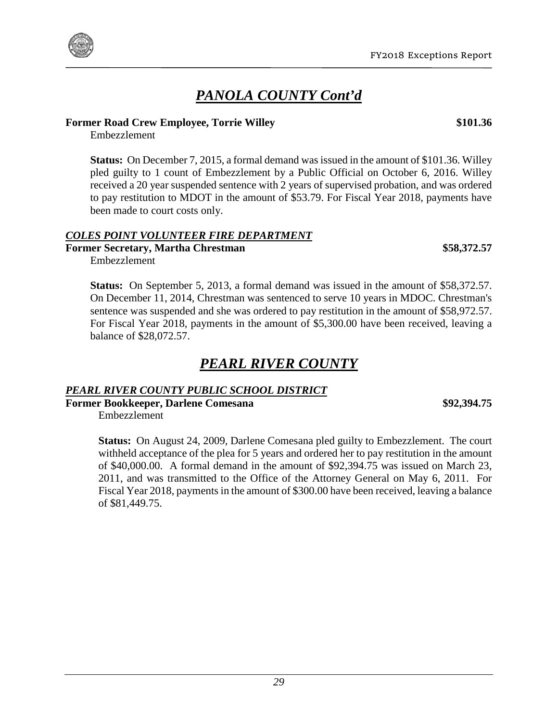### *PANOLA COUNTY Cont'd*

#### **Former Road Crew Employee, Torrie Willey \$101.36**

Embezzlement

**Status:** On December 7, 2015, a formal demand was issued in the amount of \$101.36. Willey pled guilty to 1 count of Embezzlement by a Public Official on October 6, 2016. Willey received a 20 year suspended sentence with 2 years of supervised probation, and was ordered to pay restitution to MDOT in the amount of \$53.79. For Fiscal Year 2018, payments have been made to court costs only.

#### *COLES POINT VOLUNTEER FIRE DEPARTMENT*

#### **Former Secretary, Martha Chrestman \$58,372.57**

Embezzlement

**Status:** On September 5, 2013, a formal demand was issued in the amount of \$58,372.57. On December 11, 2014, Chrestman was sentenced to serve 10 years in MDOC. Chrestman's sentence was suspended and she was ordered to pay restitution in the amount of \$58,972.57. For Fiscal Year 2018, payments in the amount of \$5,300.00 have been received, leaving a balance of \$28,072.57.

### *PEARL RIVER COUNTY*

#### *PEARL RIVER COUNTY PUBLIC SCHOOL DISTRICT*

#### **Former Bookkeeper, Darlene Comesana \$92,394.75**

Embezzlement

**Status:** On August 24, 2009, Darlene Comesana pled guilty to Embezzlement. The court withheld acceptance of the plea for 5 years and ordered her to pay restitution in the amount of \$40,000.00. A formal demand in the amount of \$92,394.75 was issued on March 23, 2011, and was transmitted to the Office of the Attorney General on May 6, 2011. For Fiscal Year 2018, payments in the amount of \$300.00 have been received, leaving a balance of \$81,449.75.

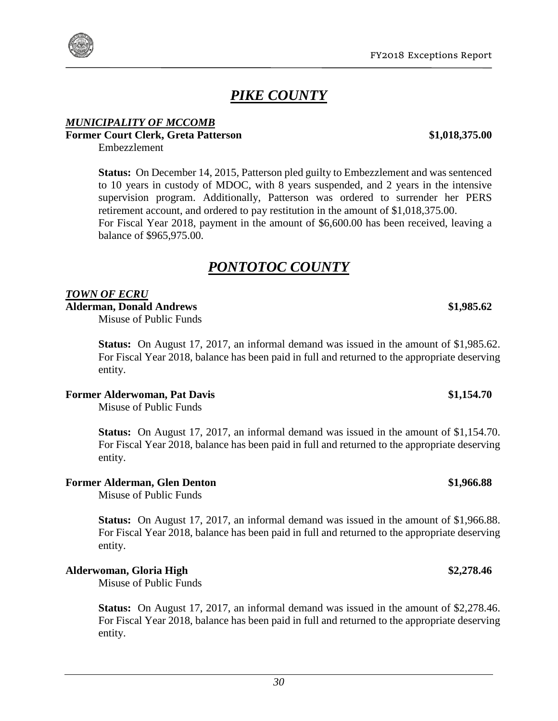### *PIKE COUNTY*

### *MUNICIPALITY OF MCCOMB*

**Former Court Clerk, Greta Patterson \$1,018,375.00** Embezzlement

**Status:** On December 14, 2015, Patterson pled guilty to Embezzlement and was sentenced to 10 years in custody of MDOC, with 8 years suspended, and 2 years in the intensive supervision program. Additionally, Patterson was ordered to surrender her PERS retirement account, and ordered to pay restitution in the amount of \$1,018,375.00.

For Fiscal Year 2018, payment in the amount of \$6,600.00 has been received, leaving a balance of \$965,975.00.

### *PONTOTOC COUNTY*

#### *TOWN OF ECRU*

#### **Alderman, Donald Andrews \$1,985.62**

Misuse of Public Funds

**Status:** On August 17, 2017, an informal demand was issued in the amount of \$1,985.62. For Fiscal Year 2018, balance has been paid in full and returned to the appropriate deserving entity.

#### Former Alderwoman, Pat Davis **\$1,154.70**

Misuse of Public Funds

**Status:** On August 17, 2017, an informal demand was issued in the amount of \$1,154.70. For Fiscal Year 2018, balance has been paid in full and returned to the appropriate deserving entity.

#### **Former Alderman, Glen Denton \$1,966.88**

Misuse of Public Funds

**Status:** On August 17, 2017, an informal demand was issued in the amount of \$1,966.88. For Fiscal Year 2018, balance has been paid in full and returned to the appropriate deserving entity.

#### **Alderwoman, Gloria High \$2,278.46**

Misuse of Public Funds

**Status:** On August 17, 2017, an informal demand was issued in the amount of \$2,278.46. For Fiscal Year 2018, balance has been paid in full and returned to the appropriate deserving entity.

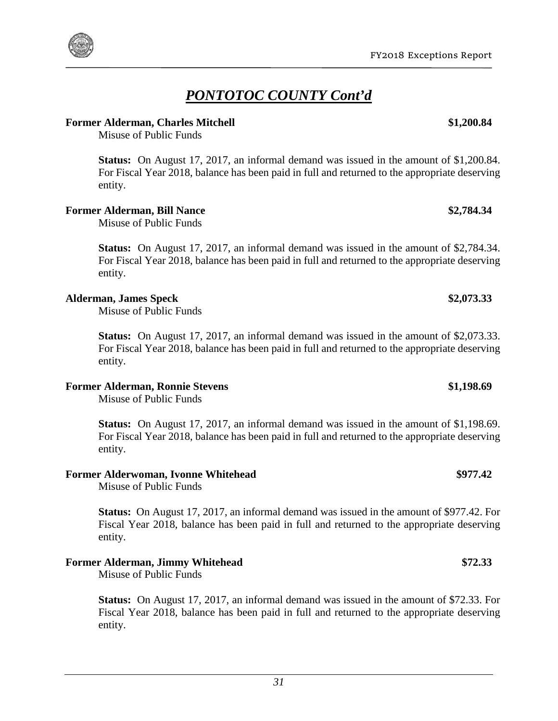### *PONTOTOC COUNTY Cont'd*

#### **Former Alderman, Charles Mitchell \$1,200.84**

Misuse of Public Funds

**Status:** On August 17, 2017, an informal demand was issued in the amount of \$1,200.84. For Fiscal Year 2018, balance has been paid in full and returned to the appropriate deserving entity.

#### **Former Alderman, Bill Nance \$2,784.34**

Misuse of Public Funds

**Status:** On August 17, 2017, an informal demand was issued in the amount of \$2,784.34. For Fiscal Year 2018, balance has been paid in full and returned to the appropriate deserving entity.

#### **Alderman, James Speck \$2,073.33**

Misuse of Public Funds

**Status:** On August 17, 2017, an informal demand was issued in the amount of \$2,073.33. For Fiscal Year 2018, balance has been paid in full and returned to the appropriate deserving entity.

#### **Former Alderman, Ronnie Stevens \$1,198.69**

Misuse of Public Funds

**Status:** On August 17, 2017, an informal demand was issued in the amount of \$1,198.69. For Fiscal Year 2018, balance has been paid in full and returned to the appropriate deserving entity.

#### **Former Alderwoman, Ivonne Whitehead \$977.42**

Misuse of Public Funds

**Status:** On August 17, 2017, an informal demand was issued in the amount of \$977.42. For Fiscal Year 2018, balance has been paid in full and returned to the appropriate deserving entity.

#### **Former Alderman, Jimmy Whitehead \$72.33**

Misuse of Public Funds

**Status:** On August 17, 2017, an informal demand was issued in the amount of \$72.33. For Fiscal Year 2018, balance has been paid in full and returned to the appropriate deserving entity.

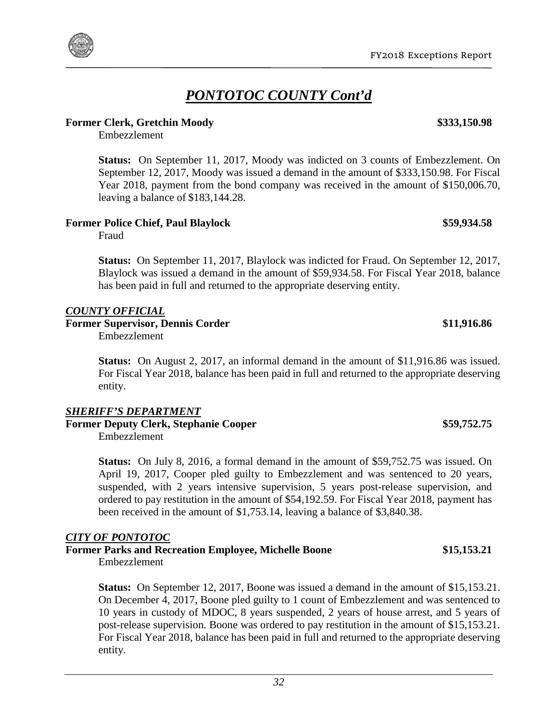### *PONTOTOC COUNTY Cont'd*

#### Former Clerk, Gretchin Moody **\$333,150.98**

Embezzlement

**Status:** On September 11, 2017, Moody was indicted on 3 counts of Embezzlement. On September 12, 2017, Moody was issued a demand in the amount of \$333,150.98. For Fiscal Year 2018, payment from the bond company was received in the amount of \$150,006.70, leaving a balance of \$183,144.28.

#### **Former Police Chief, Paul Blaylock \$59,934.58**

Fraud

**Status:** On September 11, 2017, Blaylock was indicted for Fraud. On September 12, 2017, Blaylock was issued a demand in the amount of \$59,934.58. For Fiscal Year 2018, balance has been paid in full and returned to the appropriate deserving entity.

#### *COUNTY OFFICIAL*

**Former Supervisor, Dennis Corder \$11,916.86**

Embezzlement

**Status:** On August 2, 2017, an informal demand in the amount of \$11,916.86 was issued. For Fiscal Year 2018, balance has been paid in full and returned to the appropriate deserving entity.

#### *SHERIFF'S DEPARTMENT*

**Former Deputy Clerk, Stephanie Cooper \$59,752.75**

Embezzlement

**Status:** On July 8, 2016, a formal demand in the amount of \$59,752.75 was issued. On April 19, 2017, Cooper pled guilty to Embezzlement and was sentenced to 20 years, suspended, with 2 years intensive supervision, 5 years post-release supervision, and ordered to pay restitution in the amount of \$54,192.59. For Fiscal Year 2018, payment has been received in the amount of \$1,753.14, leaving a balance of \$3,840.38.

#### *CITY OF PONTOTOC*

**Former Parks and Recreation Employee, Michelle Boone \$15,153.21**

Embezzlement

**Status:** On September 12, 2017, Boone was issued a demand in the amount of \$15,153.21. On December 4, 2017, Boone pled guilty to 1 count of Embezzlement and was sentenced to 10 years in custody of MDOC, 8 years suspended, 2 years of house arrest, and 5 years of post-release supervision. Boone was ordered to pay restitution in the amount of \$15,153.21. For Fiscal Year 2018, balance has been paid in full and returned to the appropriate deserving entity.

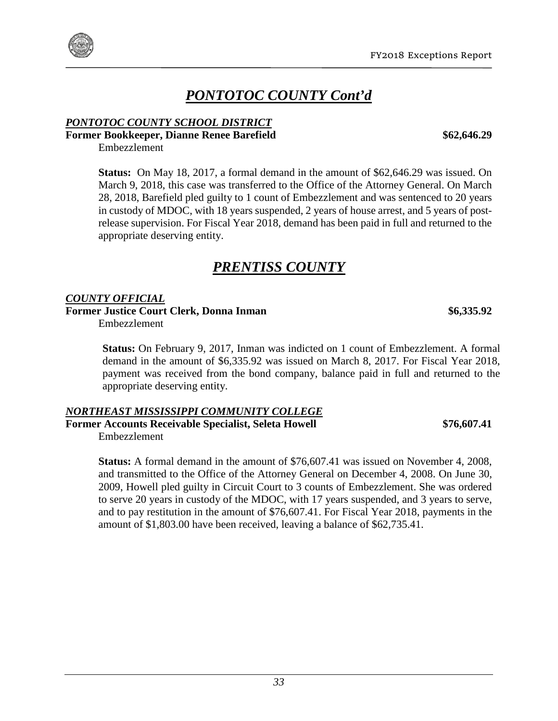*33*

### *PONTOTOC COUNTY Cont'd*

### *PONTOTOC COUNTY SCHOOL DISTRICT*

**Former Bookkeeper, Dianne Renee Barefield \$62,646.29** Embezzlement

**Status:** On May 18, 2017, a formal demand in the amount of \$62,646.29 was issued. On March 9, 2018, this case was transferred to the Office of the Attorney General. On March 28, 2018, Barefield pled guilty to 1 count of Embezzlement and was sentenced to 20 years in custody of MDOC, with 18 years suspended, 2 years of house arrest, and 5 years of postrelease supervision. For Fiscal Year 2018, demand has been paid in full and returned to the appropriate deserving entity.

### *PRENTISS COUNTY*

#### *COUNTY OFFICIAL*

**Former Justice Court Clerk, Donna Inman \$6,335.92**

Embezzlement

**Status:** On February 9, 2017, Inman was indicted on 1 count of Embezzlement. A formal demand in the amount of \$6,335.92 was issued on March 8, 2017. For Fiscal Year 2018, payment was received from the bond company, balance paid in full and returned to the appropriate deserving entity.

#### *NORTHEAST MISSISSIPPI COMMUNITY COLLEGE*

**Former Accounts Receivable Specialist, Seleta Howell \$76,607.41** Embezzlement

**Status:** A formal demand in the amount of \$76,607.41 was issued on November 4, 2008, and transmitted to the Office of the Attorney General on December 4, 2008. On June 30, 2009, Howell pled guilty in Circuit Court to 3 counts of Embezzlement. She was ordered to serve 20 years in custody of the MDOC, with 17 years suspended, and 3 years to serve, and to pay restitution in the amount of \$76,607.41. For Fiscal Year 2018, payments in the amount of \$1,803.00 have been received, leaving a balance of \$62,735.41.

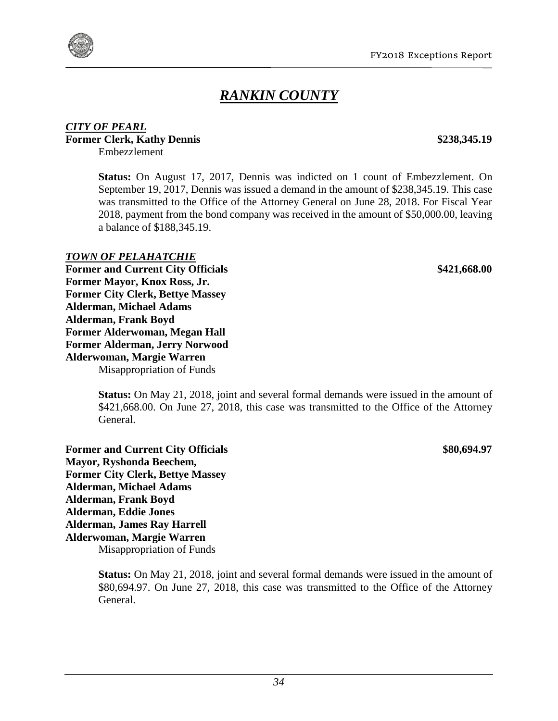### *RANKIN COUNTY*

### *CITY OF PEARL* **Former Clerk, Kathy Dennis \$238,345.19**

Embezzlement

**Status:** On August 17, 2017, Dennis was indicted on 1 count of Embezzlement. On September 19, 2017, Dennis was issued a demand in the amount of \$238,345.19. This case was transmitted to the Office of the Attorney General on June 28, 2018. For Fiscal Year 2018, payment from the bond company was received in the amount of \$50,000.00, leaving a balance of \$188,345.19.

#### *TOWN OF PELAHATCHIE*

**Former and Current City Officials 6421,668.00 Former Mayor, Knox Ross, Jr. Former City Clerk, Bettye Massey Alderman, Michael Adams Alderman, Frank Boyd Former Alderwoman, Megan Hall Former Alderman, Jerry Norwood Alderwoman, Margie Warren** Misappropriation of Funds

**Status:** On May 21, 2018, joint and several formal demands were issued in the amount of \$421,668.00. On June 27, 2018, this case was transmitted to the Office of the Attorney General.

**Former and Current City Officials 1988 1998 1998 1999 1999 1999 1999 1999 1999 1999 1999 1999 1999 1999 1999 1999 1999 1999 1999 1999 1999 1999 1999 1999 1999 1999 199 Mayor, Ryshonda Beechem, Former City Clerk, Bettye Massey Alderman, Michael Adams Alderman, Frank Boyd Alderman, Eddie Jones Alderman, James Ray Harrell Alderwoman, Margie Warren** Misappropriation of Funds

**Status:** On May 21, 2018, joint and several formal demands were issued in the amount of \$80,694.97. On June 27, 2018, this case was transmitted to the Office of the Attorney General.

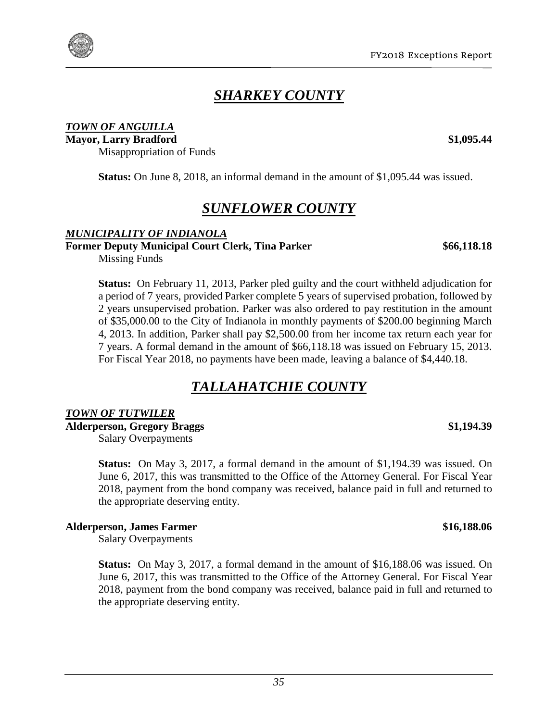### *SHARKEY COUNTY*

#### *TOWN OF ANGUILLA* **Mayor, Larry Bradford \$1,095.44**

Misappropriation of Funds

**Status:** On June 8, 2018, an informal demand in the amount of \$1,095.44 was issued.

### *SUNFLOWER COUNTY*

#### *MUNICIPALITY OF INDIANOLA*

#### **Former Deputy Municipal Court Clerk, Tina Parker \$66,118.18**

Missing Funds

**Status:** On February 11, 2013, Parker pled guilty and the court withheld adjudication for a period of 7 years, provided Parker complete 5 years of supervised probation, followed by 2 years unsupervised probation. Parker was also ordered to pay restitution in the amount of \$35,000.00 to the City of Indianola in monthly payments of \$200.00 beginning March 4, 2013. In addition, Parker shall pay \$2,500.00 from her income tax return each year for 7 years. A formal demand in the amount of \$66,118.18 was issued on February 15, 2013. For Fiscal Year 2018, no payments have been made, leaving a balance of \$4,440.18.

## *TALLAHATCHIE COUNTY*

#### *TOWN OF TUTWILER* **Alderperson, Gregory Braggs \$1,194.39**

Salary Overpayments

**Status:** On May 3, 2017, a formal demand in the amount of \$1,194.39 was issued. On June 6, 2017, this was transmitted to the Office of the Attorney General. For Fiscal Year 2018, payment from the bond company was received, balance paid in full and returned to the appropriate deserving entity.

#### **Alderperson, James Farmer \$16,188.06**

Salary Overpayments

**Status:** On May 3, 2017, a formal demand in the amount of \$16,188.06 was issued. On June 6, 2017, this was transmitted to the Office of the Attorney General. For Fiscal Year 2018, payment from the bond company was received, balance paid in full and returned to the appropriate deserving entity.

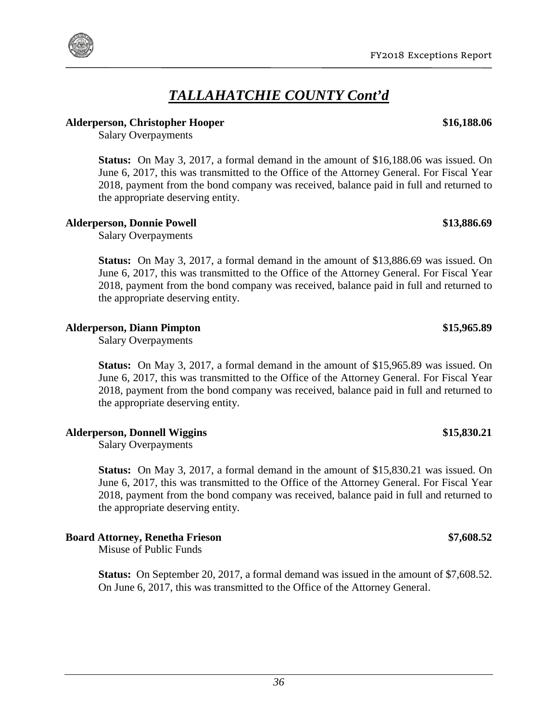### *TALLAHATCHIE COUNTY Cont'd*

#### **Alderperson, Christopher Hooper \$16,188.06**

Salary Overpayments

**Status:** On May 3, 2017, a formal demand in the amount of \$16,188.06 was issued. On June 6, 2017, this was transmitted to the Office of the Attorney General. For Fiscal Year 2018, payment from the bond company was received, balance paid in full and returned to the appropriate deserving entity.

#### **Alderperson, Donnie Powell \$13,886.69**

Salary Overpayments

**Status:** On May 3, 2017, a formal demand in the amount of \$13,886.69 was issued. On June 6, 2017, this was transmitted to the Office of the Attorney General. For Fiscal Year 2018, payment from the bond company was received, balance paid in full and returned to the appropriate deserving entity.

#### **Alderperson, Diann Pimpton \$15,965.89**

Salary Overpayments

**Status:** On May 3, 2017, a formal demand in the amount of \$15,965.89 was issued. On June 6, 2017, this was transmitted to the Office of the Attorney General. For Fiscal Year 2018, payment from the bond company was received, balance paid in full and returned to the appropriate deserving entity.

#### **Alderperson, Donnell Wiggins \$15,830.21**

Salary Overpayments

**Status:** On May 3, 2017, a formal demand in the amount of \$15,830.21 was issued. On June 6, 2017, this was transmitted to the Office of the Attorney General. For Fiscal Year 2018, payment from the bond company was received, balance paid in full and returned to the appropriate deserving entity.

#### **Board Attorney, Renetha Frieson \$7,608.52**

Misuse of Public Funds

**Status:** On September 20, 2017, a formal demand was issued in the amount of \$7,608.52. On June 6, 2017, this was transmitted to the Office of the Attorney General.

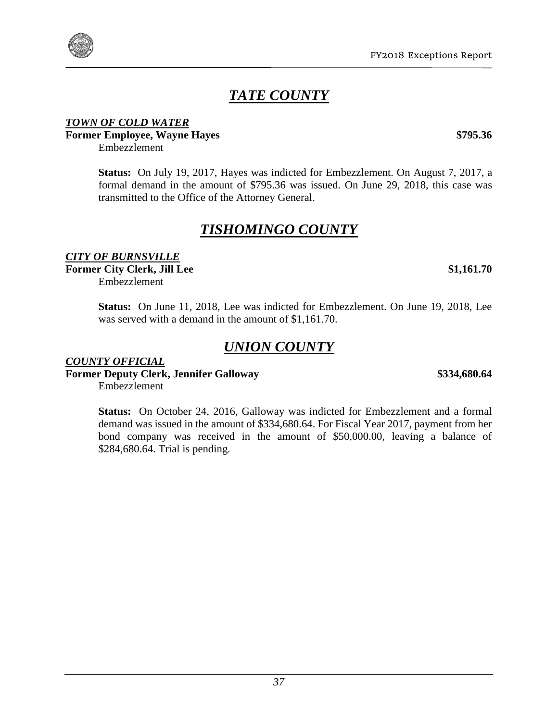### *TATE COUNTY*

#### *TOWN OF COLD WATER*

### **Former Employee, Wayne Hayes \$795.36**

Embezzlement

**Status:** On July 19, 2017, Hayes was indicted for Embezzlement. On August 7, 2017, a formal demand in the amount of \$795.36 was issued. On June 29, 2018, this case was transmitted to the Office of the Attorney General.

### *TISHOMINGO COUNTY*

#### *CITY OF BURNSVILLE*

#### **Former City Clerk, Jill Lee \$1,161.70**

Embezzlement

**Status:** On June 11, 2018, Lee was indicted for Embezzlement. On June 19, 2018, Lee was served with a demand in the amount of \$1,161.70.

### *UNION COUNTY*

#### *COUNTY OFFICIAL*

## **Former Deputy Clerk, Jennifer Galloway \$334,680.64**

Embezzlement

**Status:** On October 24, 2016, Galloway was indicted for Embezzlement and a formal demand was issued in the amount of \$334,680.64. For Fiscal Year 2017, payment from her bond company was received in the amount of \$50,000.00, leaving a balance of \$284,680.64. Trial is pending.

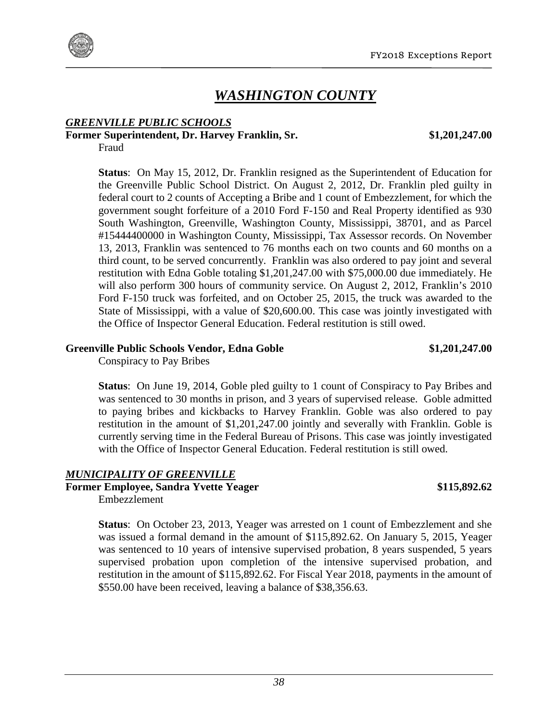

### *WASHINGTON COUNTY*

#### *GREENVILLE PUBLIC SCHOOLS*

**Former Superintendent, Dr. Harvey Franklin, Sr. \$1,201,247.00**

Fraud

**Status**: On May 15, 2012, Dr. Franklin resigned as the Superintendent of Education for the Greenville Public School District. On August 2, 2012, Dr. Franklin pled guilty in federal court to 2 counts of Accepting a Bribe and 1 count of Embezzlement, for which the government sought forfeiture of a 2010 Ford F-150 and Real Property identified as 930 South Washington, Greenville, Washington County, Mississippi, 38701, and as Parcel #15444400000 in Washington County, Mississippi, Tax Assessor records. On November 13, 2013, Franklin was sentenced to 76 months each on two counts and 60 months on a third count, to be served concurrently. Franklin was also ordered to pay joint and several restitution with Edna Goble totaling \$1,201,247.00 with \$75,000.00 due immediately. He will also perform 300 hours of community service. On August 2, 2012, Franklin's 2010 Ford F-150 truck was forfeited, and on October 25, 2015, the truck was awarded to the State of Mississippi, with a value of \$20,600.00. This case was jointly investigated with the Office of Inspector General Education. Federal restitution is still owed.

#### **Greenville Public Schools Vendor, Edna Goble \$1,201,247.00**

Conspiracy to Pay Bribes

**Status**: On June 19, 2014, Goble pled guilty to 1 count of Conspiracy to Pay Bribes and was sentenced to 30 months in prison, and 3 years of supervised release. Goble admitted to paying bribes and kickbacks to Harvey Franklin. Goble was also ordered to pay restitution in the amount of \$1,201,247.00 jointly and severally with Franklin. Goble is currently serving time in the Federal Bureau of Prisons. This case was jointly investigated with the Office of Inspector General Education. Federal restitution is still owed.

#### *MUNICIPALITY OF GREENVILLE*

#### **Former Employee, Sandra Yvette Yeager \$115,892.62**

Embezzlement

**Status**: On October 23, 2013, Yeager was arrested on 1 count of Embezzlement and she was issued a formal demand in the amount of \$115,892.62. On January 5, 2015, Yeager was sentenced to 10 years of intensive supervised probation, 8 years suspended, 5 years supervised probation upon completion of the intensive supervised probation, and restitution in the amount of \$115,892.62. For Fiscal Year 2018, payments in the amount of \$550.00 have been received, leaving a balance of \$38,356.63.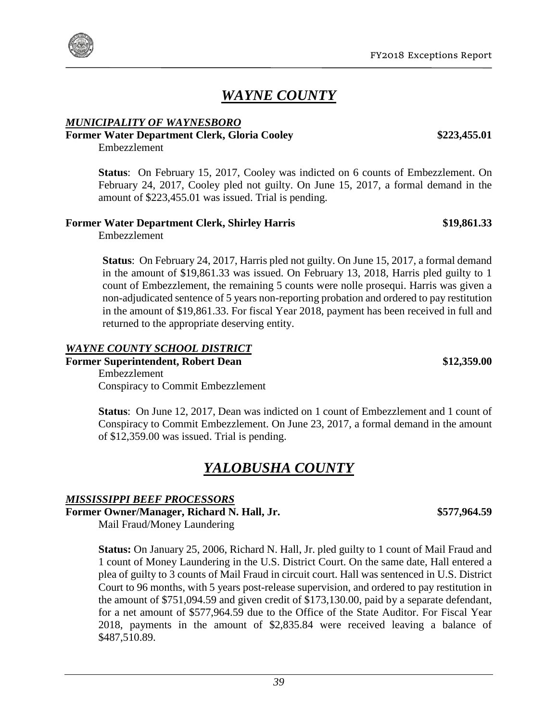### *WAYNE COUNTY*

### *MUNICIPALITY OF WAYNESBORO*

### **Former Water Department Clerk, Gloria Cooley \$223,455.01**

Embezzlement

**Status**: On February 15, 2017, Cooley was indicted on 6 counts of Embezzlement. On February 24, 2017, Cooley pled not guilty. On June 15, 2017, a formal demand in the amount of \$223,455.01 was issued. Trial is pending.

### **Former Water Department Clerk, Shirley Harris \$19,861.33**

Embezzlement

**Status**: On February 24, 2017, Harris pled not guilty. On June 15, 2017, a formal demand in the amount of \$19,861.33 was issued. On February 13, 2018, Harris pled guilty to 1 count of Embezzlement, the remaining 5 counts were nolle prosequi. Harris was given a non-adjudicated sentence of 5 years non-reporting probation and ordered to pay restitution in the amount of \$19,861.33. For fiscal Year 2018, payment has been received in full and returned to the appropriate deserving entity.

#### *WAYNE COUNTY SCHOOL DISTRICT*

### **Former Superintendent, Robert Dean \$12,359.00**

Embezzlement Conspiracy to Commit Embezzlement

**Status**: On June 12, 2017, Dean was indicted on 1 count of Embezzlement and 1 count of Conspiracy to Commit Embezzlement. On June 23, 2017, a formal demand in the amount of \$12,359.00 was issued. Trial is pending.

### *YALOBUSHA COUNTY*

### *MISSISSIPPI BEEF PROCESSORS*

**Former Owner/Manager, Richard N. Hall, Jr. \$577,964.59**

Mail Fraud/Money Laundering

**Status:** On January 25, 2006, Richard N. Hall, Jr. pled guilty to 1 count of Mail Fraud and 1 count of Money Laundering in the U.S. District Court. On the same date, Hall entered a plea of guilty to 3 counts of Mail Fraud in circuit court. Hall was sentenced in U.S. District Court to 96 months, with 5 years post-release supervision, and ordered to pay restitution in the amount of \$751,094.59 and given credit of \$173,130.00, paid by a separate defendant, for a net amount of \$577,964.59 due to the Office of the State Auditor. For Fiscal Year 2018, payments in the amount of \$2,835.84 were received leaving a balance of \$487,510.89.

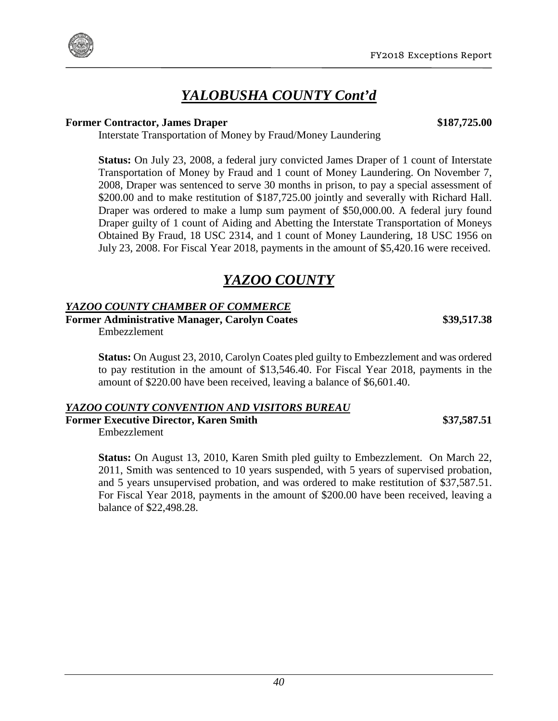### *YALOBUSHA COUNTY Cont'd*

#### **Former Contractor, James Draper \$187,725.00**

Interstate Transportation of Money by Fraud/Money Laundering

**Status:** On July 23, 2008, a federal jury convicted James Draper of 1 count of Interstate Transportation of Money by Fraud and 1 count of Money Laundering. On November 7, 2008, Draper was sentenced to serve 30 months in prison, to pay a special assessment of \$200.00 and to make restitution of \$187,725.00 jointly and severally with Richard Hall. Draper was ordered to make a lump sum payment of \$50,000.00. A federal jury found Draper guilty of 1 count of Aiding and Abetting the Interstate Transportation of Moneys Obtained By Fraud, 18 USC 2314, and 1 count of Money Laundering, 18 USC 1956 on July 23, 2008. For Fiscal Year 2018, payments in the amount of \$5,420.16 were received.

### *YAZOO COUNTY*

#### *YAZOO COUNTY CHAMBER OF COMMERCE*

**Former Administrative Manager, Carolyn Coates \$39,517.38** Embezzlement

**Status:** On August 23, 2010, Carolyn Coates pled guilty to Embezzlement and was ordered to pay restitution in the amount of \$13,546.40. For Fiscal Year 2018, payments in the amount of \$220.00 have been received, leaving a balance of \$6,601.40.

#### *YAZOO COUNTY CONVENTION AND VISITORS BUREAU*

**Former Executive Director, Karen Smith \$37,587.51** 

Embezzlement

**Status:** On August 13, 2010, Karen Smith pled guilty to Embezzlement. On March 22, 2011, Smith was sentenced to 10 years suspended, with 5 years of supervised probation, and 5 years unsupervised probation, and was ordered to make restitution of \$37,587.51. For Fiscal Year 2018, payments in the amount of \$200.00 have been received, leaving a balance of \$22,498.28.

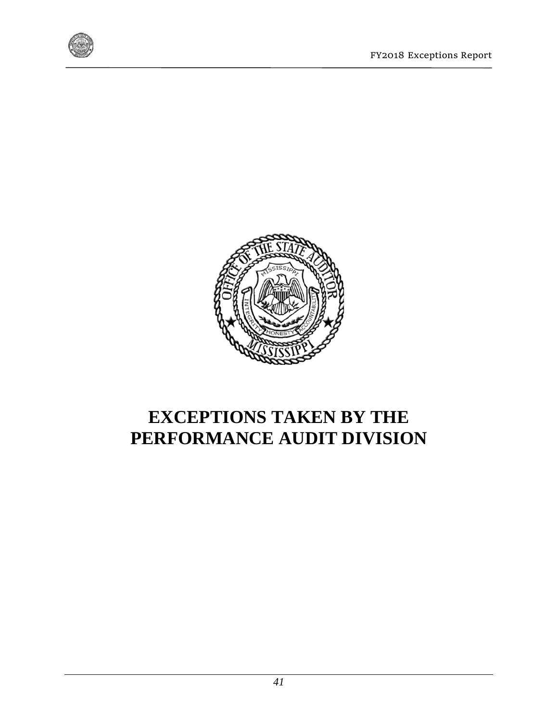





## **EXCEPTIONS TAKEN BY THE PERFORMANCE AUDIT DIVISION**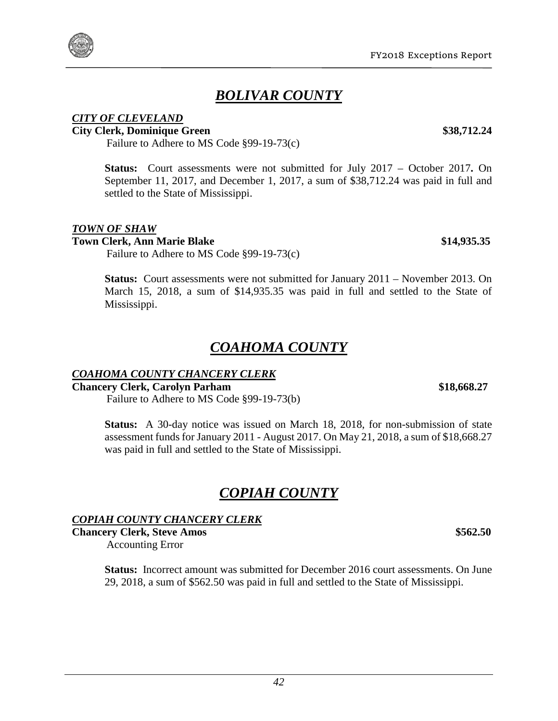### *BOLIVAR COUNTY*

#### *CITY OF CLEVELAND*

#### **City Clerk, Dominique Green \$38,712.24**

Failure to Adhere to MS Code §99-19-73(c)

**Status:** Court assessments were not submitted for July 2017 – October 2017**.** On September 11, 2017, and December 1, 2017, a sum of \$38,712.24 was paid in full and settled to the State of Mississippi.

#### *TOWN OF SHAW*

#### **Town Clerk, Ann Marie Blake \$14,935.35**

Failure to Adhere to MS Code §99-19-73(c)

**Status:** Court assessments were not submitted for January 2011 – November 2013. On March 15, 2018, a sum of \$14,935.35 was paid in full and settled to the State of Mississippi.

### *COAHOMA COUNTY*

#### *COAHOMA COUNTY CHANCERY CLERK*

#### **Chancery Clerk, Carolyn Parham \$18,668.27**

Failure to Adhere to MS Code §99-19-73(b)

**Status:** A 30-day notice was issued on March 18, 2018, for non-submission of state assessment funds for January 2011 - August 2017. On May 21, 2018, a sum of \$18,668.27 was paid in full and settled to the State of Mississippi.

### *COPIAH COUNTY*

#### *COPIAH COUNTY CHANCERY CLERK*

**Chancery Clerk, Steve Amos**  $$562.50$ Accounting Error

**Status:** Incorrect amount was submitted for December 2016 court assessments. On June 29, 2018, a sum of \$562.50 was paid in full and settled to the State of Mississippi.

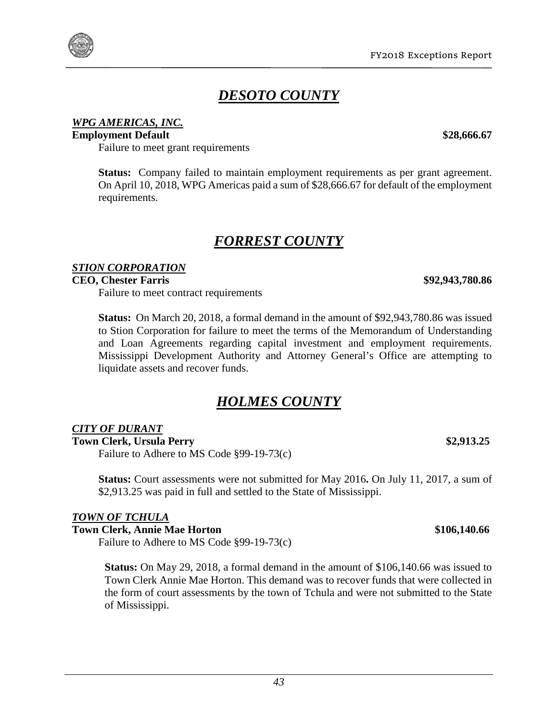### *DESOTO COUNTY*

#### *WPG AMERICAS, INC.*

#### **Employment Default** \$28,666.67

Failure to meet grant requirements

**Status:** Company failed to maintain employment requirements as per grant agreement. On April 10, 2018, WPG Americas paid a sum of \$28,666.67 for default of the employment requirements.

### *FORREST COUNTY*

#### *STION CORPORATION*

#### **CEO, Chester Farris \$92,943,780.86**

Failure to meet contract requirements

**Status:** On March 20, 2018, a formal demand in the amount of \$92,943,780.86 was issued to Stion Corporation for failure to meet the terms of the Memorandum of Understanding and Loan Agreements regarding capital investment and employment requirements. Mississippi Development Authority and Attorney General's Office are attempting to liquidate assets and recover funds.

### *HOLMES COUNTY*

*CITY OF DURANT* 

**Town Clerk, Ursula Perry \$2,913.25**  \$2,913.25

Failure to Adhere to MS Code §99-19-73(c)

**Status:** Court assessments were not submitted for May 2016**.** On July 11, 2017, a sum of \$2,913.25 was paid in full and settled to the State of Mississippi.

#### *TOWN OF TCHULA*

#### Town Clerk, Annie Mae Horton **\$106,140.66**

Failure to Adhere to MS Code §99-19-73(c)

**Status:** On May 29, 2018, a formal demand in the amount of \$106,140.66 was issued to Town Clerk Annie Mae Horton. This demand was to recover funds that were collected in the form of court assessments by the town of Tchula and were not submitted to the State of Mississippi.

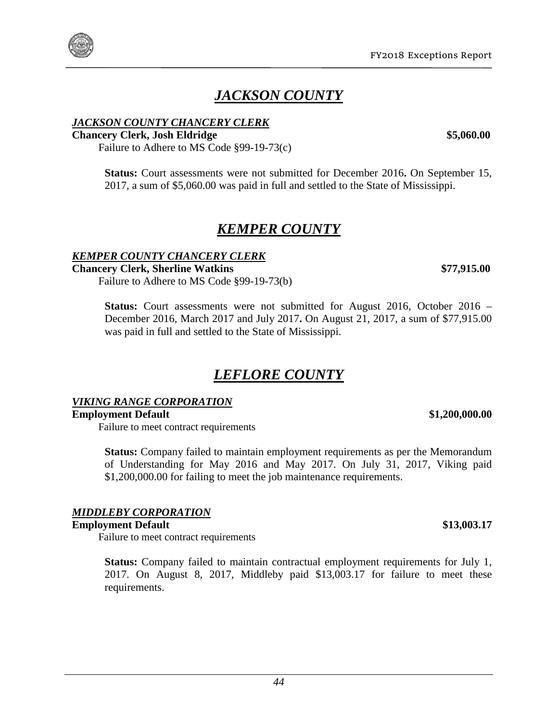### *JACKSON COUNTY*

#### *JACKSON COUNTY CHANCERY CLERK*

#### **Chancery Clerk, Josh Eldridge \$5,060.00**

Failure to Adhere to MS Code §99-19-73(c)

**Status:** Court assessments were not submitted for December 2016**.** On September 15, 2017, a sum of \$5,060.00 was paid in full and settled to the State of Mississippi.

### *KEMPER COUNTY*

#### *KEMPER COUNTY CHANCERY CLERK*

#### **Chancery Clerk, Sherline Watkins \$77,915.00**

Failure to Adhere to MS Code §99-19-73(b)

**Status:** Court assessments were not submitted for August 2016, October 2016 – December 2016, March 2017 and July 2017**.** On August 21, 2017, a sum of \$77,915.00 was paid in full and settled to the State of Mississippi.

### *LEFLORE COUNTY*

#### *VIKING RANGE CORPORATION*

**Employment Default** \$1,200,000.00

Failure to meet contract requirements

**Status:** Company failed to maintain employment requirements as per the Memorandum of Understanding for May 2016 and May 2017. On July 31, 2017, Viking paid \$1,200,000.00 for failing to meet the job maintenance requirements.

#### *MIDDLEBY CORPORATION*

#### **Employment Default** \$13,003.17

Failure to meet contract requirements

**Status:** Company failed to maintain contractual employment requirements for July 1, 2017. On August 8, 2017, Middleby paid \$13,003.17 for failure to meet these requirements.

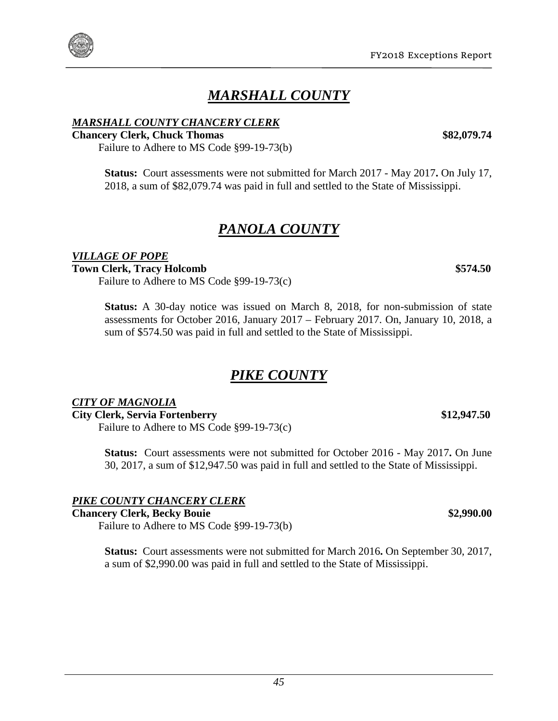### *MARSHALL COUNTY*

#### *MARSHALL COUNTY CHANCERY CLERK*

#### **Chancery Clerk, Chuck Thomas \$82,079.74**

Failure to Adhere to MS Code §99-19-73(b)

**Status:** Court assessments were not submitted for March 2017 - May 2017**.** On July 17, 2018, a sum of \$82,079.74 was paid in full and settled to the State of Mississippi.

### *PANOLA COUNTY*

#### *VILLAGE OF POPE*

#### **Town Clerk, Tracy Holcomb 6574.50 \$574.50**

Failure to Adhere to MS Code §99-19-73(c)

**Status:** A 30-day notice was issued on March 8, 2018, for non-submission of state assessments for October 2016, January 2017 – February 2017. On, January 10, 2018, a sum of \$574.50 was paid in full and settled to the State of Mississippi.

### *PIKE COUNTY*

#### *CITY OF MAGNOLIA*

**City Clerk, Servia Fortenberry \$12,947.50**  Failure to Adhere to MS Code §99-19-73(c)

**Status:** Court assessments were not submitted for October 2016 - May 2017**.** On June 30, 2017, a sum of \$12,947.50 was paid in full and settled to the State of Mississippi.

#### *PIKE COUNTY CHANCERY CLERK*

#### **Chancery Clerk, Becky Bouie \$2,990.00** \$2,990.00

Failure to Adhere to MS Code §99-19-73(b)

**Status:** Court assessments were not submitted for March 2016**.** On September 30, 2017, a sum of \$2,990.00 was paid in full and settled to the State of Mississippi.

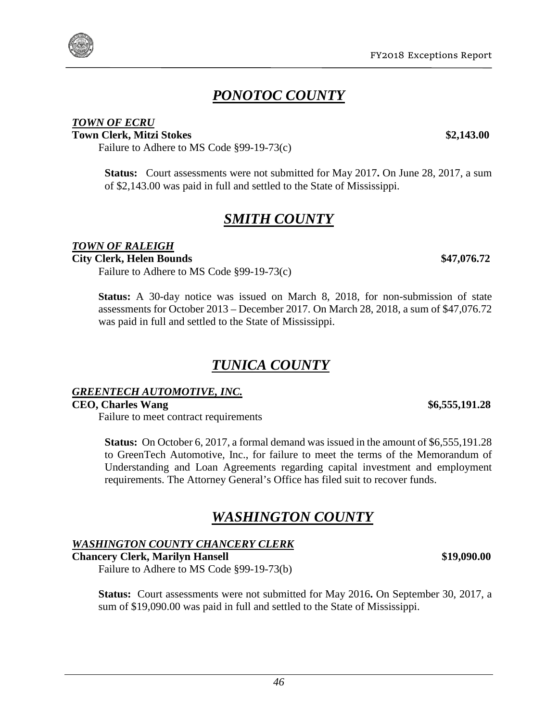### *PONOTOC COUNTY*

#### *TOWN OF ECRU*

#### **Town Clerk, Mitzi Stokes \$2,143.00**

Failure to Adhere to MS Code §99-19-73(c)

**Status:** Court assessments were not submitted for May 2017**.** On June 28, 2017, a sum of \$2,143.00 was paid in full and settled to the State of Mississippi.

### *SMITH COUNTY*

#### *TOWN OF RALEIGH*

#### **City Clerk, Helen Bounds \$47,076.72**

Failure to Adhere to MS Code §99-19-73(c)

**Status:** A 30-day notice was issued on March 8, 2018, for non-submission of state assessments for October 2013 – December 2017. On March 28, 2018, a sum of \$47,076.72 was paid in full and settled to the State of Mississippi.

### *TUNICA COUNTY*

#### *GREENTECH AUTOMOTIVE, INC.*

### **CEO, Charles Wang \$6,555,191.28**

Failure to meet contract requirements

**Status:** On October 6, 2017, a formal demand was issued in the amount of \$6,555,191.28 to GreenTech Automotive, Inc., for failure to meet the terms of the Memorandum of Understanding and Loan Agreements regarding capital investment and employment requirements. The Attorney General's Office has filed suit to recover funds.

### *WASHINGTON COUNTY*

#### *WASHINGTON COUNTY CHANCERY CLERK*

#### **Chancery Clerk, Marilyn Hansell \$19,090.00**

Failure to Adhere to MS Code §99-19-73(b)

**Status:** Court assessments were not submitted for May 2016**.** On September 30, 2017, a sum of \$19,090.00 was paid in full and settled to the State of Mississippi.

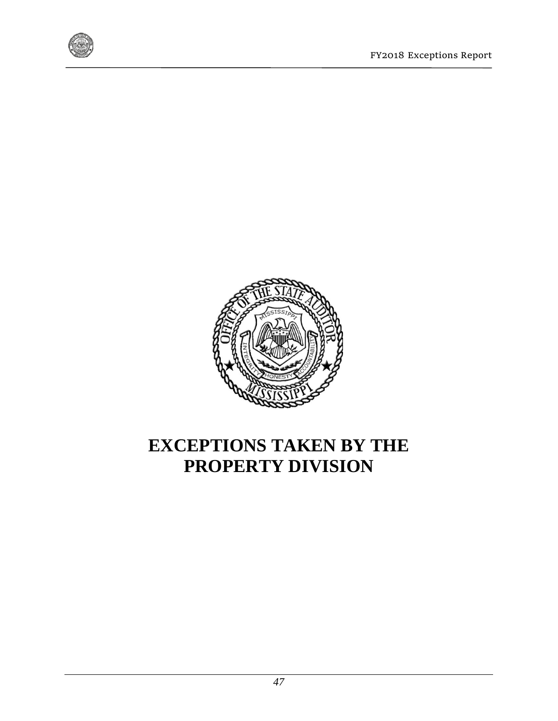



## **EXCEPTIONS TAKEN BY THE PROPERTY DIVISION**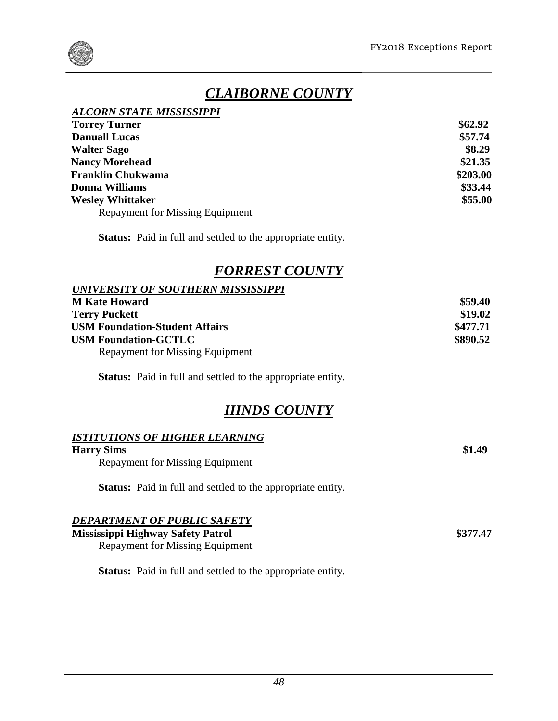

## *CLAIBORNE COUNTY*

### *ALCORN STATE MISSISSIPPI*

| <b>Torrey Turner</b>                   | \$62.92  |
|----------------------------------------|----------|
| <b>Danuall Lucas</b>                   | \$57.74  |
| <b>Walter Sago</b>                     | \$8.29   |
| <b>Nancy Morehead</b>                  | \$21.35  |
| <b>Franklin Chukwama</b>               | \$203.00 |
| <b>Donna Williams</b>                  | \$33.44  |
| <b>Wesley Whittaker</b>                | \$55.00  |
| <b>Repayment for Missing Equipment</b> |          |

Status: Paid in full and settled to the appropriate entity.

## *FORREST COUNTY*

| UNIVERSITY OF SOUTHERN MISSISSIPPI                                                                                |          |
|-------------------------------------------------------------------------------------------------------------------|----------|
| <b>M Kate Howard</b>                                                                                              | \$59.40  |
| <b>Terry Puckett</b>                                                                                              | \$19.02  |
| <b>USM Foundation-Student Affairs</b>                                                                             | \$477.71 |
| <b>USM Foundation-GCTLC</b>                                                                                       | \$890.52 |
| <b>Repayment for Missing Equipment</b>                                                                            |          |
| <b>Status:</b> Paid in full and settled to the appropriate entity.                                                |          |
| <b>HINDS COUNTY</b>                                                                                               |          |
| ISTITUTIONS OF HIGHER LEARNING<br><b>Harry Sims</b>                                                               | \$1.49   |
| <b>Repayment for Missing Equipment</b>                                                                            |          |
| <b>Status:</b> Paid in full and settled to the appropriate entity.                                                |          |
| DEPARTMENT OF PUBLIC SAFETY<br><b>Mississippi Highway Safety Patrol</b><br><b>Repayment for Missing Equipment</b> | \$377.47 |
|                                                                                                                   |          |

Status: Paid in full and settled to the appropriate entity.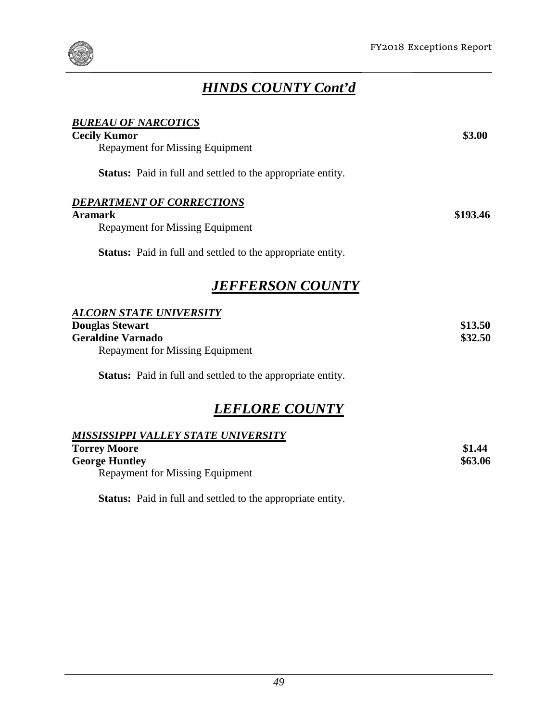

## *HINDS COUNTY Cont'd*

| <b>BUREAU OF NARCOTICS</b>                                         |          |
|--------------------------------------------------------------------|----------|
| <b>Cecily Kumor</b>                                                | \$3.00   |
| <b>Repayment for Missing Equipment</b>                             |          |
| <b>Status:</b> Paid in full and settled to the appropriate entity. |          |
| <b>DEPARTMENT OF CORRECTIONS</b>                                   |          |
| Aramark                                                            | \$193.46 |
| <b>Repayment for Missing Equipment</b>                             |          |
| <b>Status:</b> Paid in full and settled to the appropriate entity. |          |
| <b>JEFFERSON COUNTY</b>                                            |          |
| <u>ALCORN STATE UNIVERSITY</u>                                     |          |
| <b>Douglas Stewart</b>                                             | \$13.50  |
| <b>Geraldine Varnado</b>                                           | \$32.50  |
| <b>Repayment for Missing Equipment</b>                             |          |
| <b>Status:</b> Paid in full and settled to the appropriate entity. |          |
| <i><b>LEFLORE COUNTY</b></i>                                       |          |
| MISSISSIPPI VALLEY STATE UNIVERSITY                                |          |
| <b>Torrey Moore</b>                                                | \$1.44   |
| <b>George Huntley</b>                                              | \$63.06  |
| <b>Repayment for Missing Equipment</b>                             |          |

**Status:** Paid in full and settled to the appropriate entity.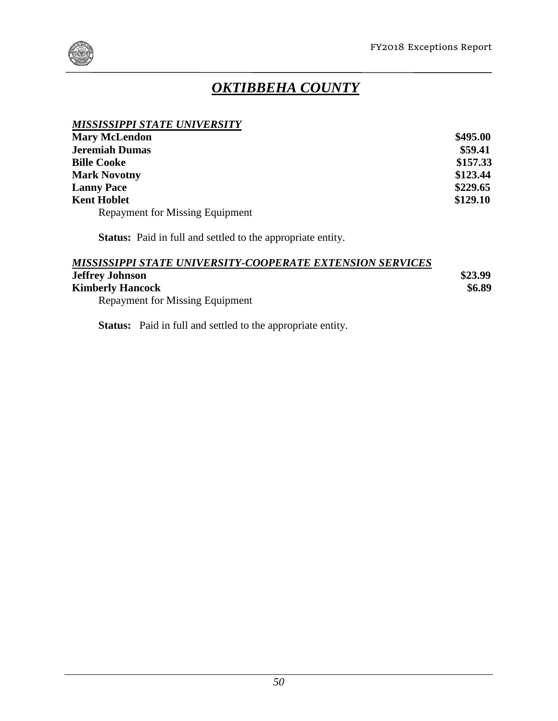

## *OKTIBBEHA COUNTY*

#### *MISSISSIPPI STATE UNIVERSITY*

| <b>Mary McLendon</b>                   | \$495.00 |
|----------------------------------------|----------|
| <b>Jeremiah Dumas</b>                  | \$59.41  |
| <b>Bille Cooke</b>                     | \$157.33 |
| <b>Mark Novotny</b>                    | \$123.44 |
| <b>Lanny Pace</b>                      | \$229.65 |
| <b>Kent Hoblet</b>                     | \$129.10 |
| <b>Repayment for Missing Equipment</b> |          |

**Status:** Paid in full and settled to the appropriate entity.

| <b>MISSISSIPPI STATE UNIVERSITY-COOPERATE EXTENSION SERVICES</b> |         |
|------------------------------------------------------------------|---------|
| <b>Jeffrey Johnson</b>                                           | \$23.99 |
| <b>Kimberly Hancock</b>                                          | \$6.89  |
| <b>Repayment for Missing Equipment</b>                           |         |

**Status:** Paid in full and settled to the appropriate entity.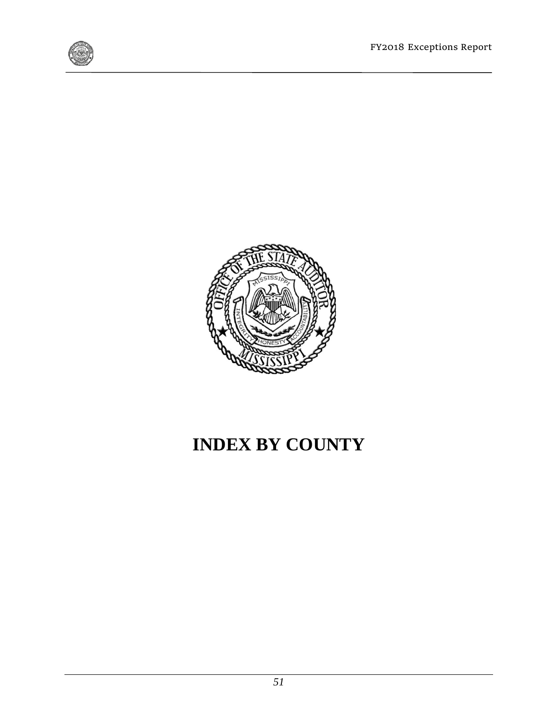



## **INDEX BY COUNTY**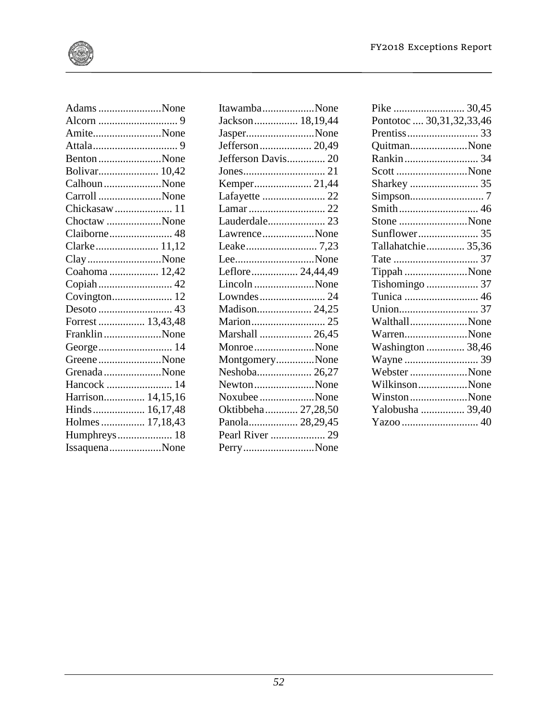

| Adams None        |  |
|-------------------|--|
|                   |  |
| AmiteNone         |  |
|                   |  |
| Benton None       |  |
|                   |  |
| Calhoun None      |  |
| Carroll None      |  |
| Chickasaw 11      |  |
| Choctaw None      |  |
| Claiborne 48      |  |
| Clarke 11,12      |  |
| ClayNone          |  |
| Coahoma  12,42    |  |
|                   |  |
|                   |  |
|                   |  |
| Forrest  13,43,48 |  |
| Franklin None     |  |
|                   |  |
| GreeneNone        |  |
| Grenada None      |  |
| Hancock  14       |  |
| Harrison 14,15,16 |  |
| Hinds 16,17,48    |  |
| Holmes  17,18,43  |  |
| Humphreys 18      |  |
| IssaquenaNone     |  |

| ItawambaNone       |  |
|--------------------|--|
| Jackson 18,19,44   |  |
| JasperNone         |  |
|                    |  |
| Jefferson Davis 20 |  |
|                    |  |
|                    |  |
|                    |  |
|                    |  |
| Lauderdale 23      |  |
| LawrenceNone       |  |
|                    |  |
| LeeNone            |  |
| Leflore 24,44,49   |  |
| Lincoln None       |  |
|                    |  |
| Madison 24,25      |  |
|                    |  |
| Marshall  26,45    |  |
| MonroeNone         |  |
| MontgomeryNone     |  |
| Neshoba 26,27      |  |
| NewtonNone         |  |
| Noxubee None       |  |
| Oktibbeha 27,28,50 |  |
| Panola 28,29,45    |  |
| Pearl River  29    |  |
| PerryNone          |  |

| Pike                     | $\dots$ 30.45 |
|--------------------------|---------------|
| Pontotoc  30,31,32,33,46 |               |
|                          |               |
| QuitmanNone              |               |
|                          |               |
| Scott None               |               |
|                          |               |
|                          |               |
|                          |               |
| Stone None               |               |
|                          |               |
| Tallahatchie 35,36       |               |
|                          |               |
| Tippah None              |               |
| Tishomingo  37           |               |
|                          |               |
|                          |               |
| WalthallNone             |               |
| WarrenNone               |               |
| Washington  38,46        |               |
|                          |               |
| Webster None             |               |
| WilkinsonNone            |               |
| WinstonNone              |               |
| Yalobusha  39,40         |               |
|                          |               |
|                          |               |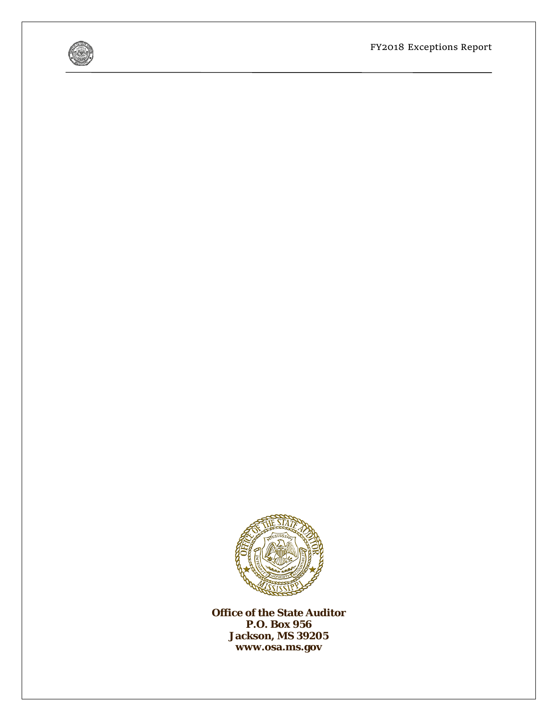



**Office of the State Auditor P.O. Box 956 Jackson, MS 39205 www.osa.ms.gov**